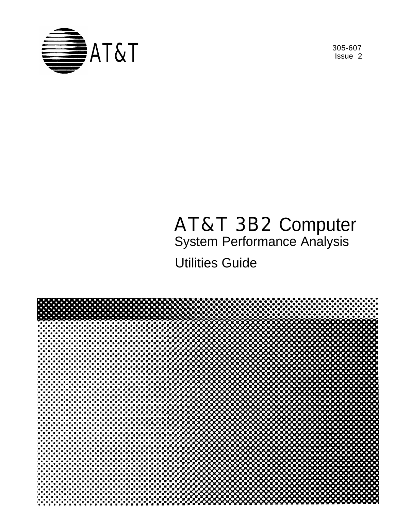

Issue 2

# AT&T 3B2 Computer

System Performance Analysis

Utilities Guide

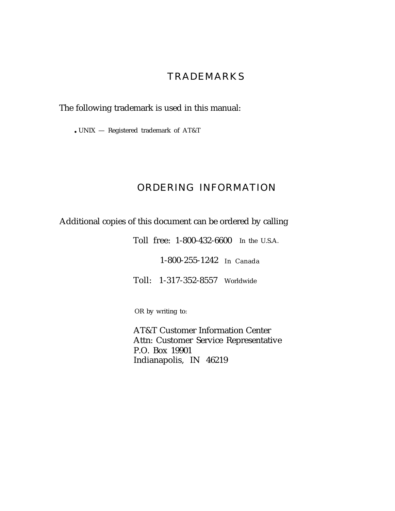#### **TRADEMARKS**

The following trademark is used in this manual:

 $\cdot$  UNIX  $-$  Registered trademark of AT&T

#### ORDERING INFORMATION

Additional copies of this document can be ordered by calling

Toll free: 1-800-432-6600 In the U.S.A.

1-800-255-1242 In Canada

Toll: 1-317-352-8557 Worldwide

OR by writing to:

AT&T Customer Information Center Attn: Customer Service Representative P.O. Box 19901 Indianapolis, IN 46219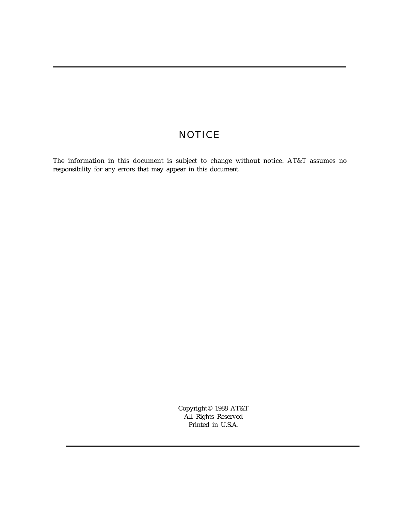#### **NOTICE**

The information in this document is subject to change without notice. AT&T assumes no responsibility for any errors that may appear in this document.

> Copyright© 1988 AT&T All Rights Reserved Printed in U.S.A.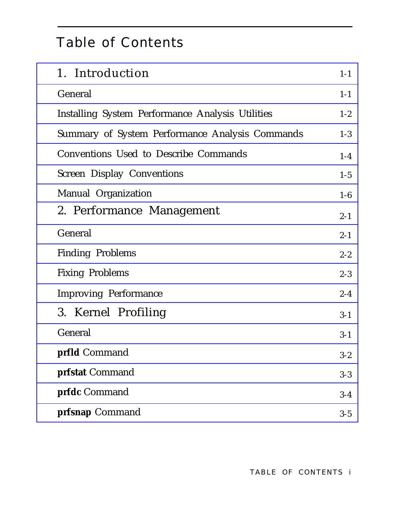## Table of Contents

| 1. Introduction                                  | $1 - 1$ |
|--------------------------------------------------|---------|
| General                                          | $1 - 1$ |
| Installing System Performance Analysis Utilities | $1 - 2$ |
| Summary of System Performance Analysis Commands  | $1-3$   |
| <b>Conventions Used to Describe Commands</b>     | $1-4$   |
| <b>Screen Display Conventions</b>                | $1 - 5$ |
| Manual Organization                              | $1-6$   |
| 2. Performance Management                        | $2 - 1$ |
| General                                          | $2 - 1$ |
| <b>Finding Problems</b>                          | $2 - 2$ |
| <b>Fixing Problems</b>                           | $2 - 3$ |
| <b>Improving Performance</b>                     | $2 - 4$ |
| 3. Kernel Profiling                              | $3 - 1$ |
| General                                          | $3 - 1$ |
| <b>prfld</b> Command                             | $3 - 2$ |
| prfstat Command                                  | $3 - 3$ |
| prfdc Command                                    | $3 - 4$ |
| prfsnap Command                                  | $3 - 5$ |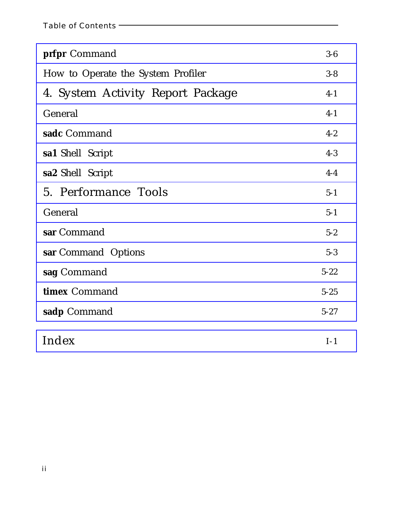| prfpr Command                      | $3-6$    |
|------------------------------------|----------|
| How to Operate the System Profiler | $3 - 8$  |
| 4. System Activity Report Package  | $4-1$    |
| General                            | $4-1$    |
| sadc Command                       | $4 - 2$  |
| sa1 Shell Script                   | $4 - 3$  |
| sa2 Shell Script                   | $4-4$    |
| 5. Performance Tools               | $5-1$    |
| General                            | $5-1$    |
| sar Command                        | $5 - 2$  |
| sar Command Options                | $5 - 3$  |
| sag Command                        | $5 - 22$ |
| timex Command                      | $5 - 25$ |
| sadp Command                       | $5 - 27$ |
| Index                              | $I-1$    |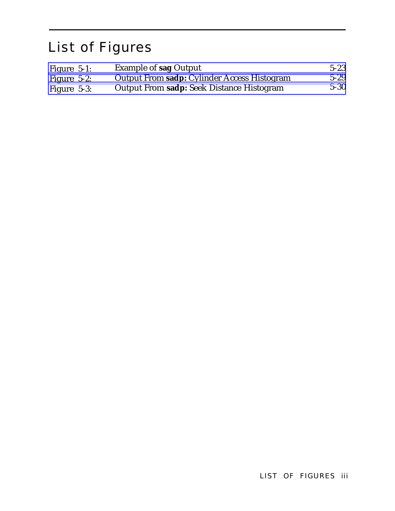## List of Figures

| Figure $5-1$ : | <b>Example of sag Output</b>                | $5 - 23$ |
|----------------|---------------------------------------------|----------|
| Figure $5-2$ : | Output From sadp: Cylinder Access Histogram | $5 - 29$ |
| Figure $5-3$ : | Output From sadp: Seek Distance Histogram   | $5 - 30$ |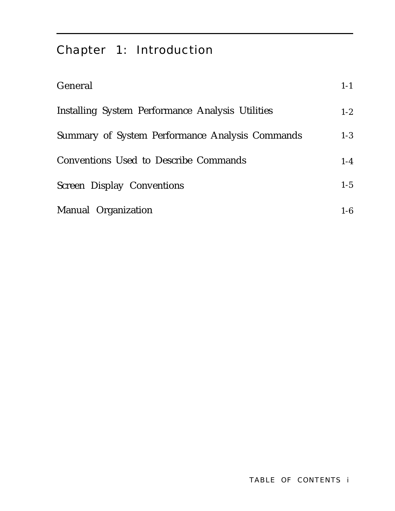## <span id="page-6-1"></span><span id="page-6-0"></span>Chapter 1: Introduction

| General                                          | $1 - 1$ |
|--------------------------------------------------|---------|
| Installing System Performance Analysis Utilities | $1 - 2$ |
| Summary of System Performance Analysis Commands  | $1-3$   |
| Conventions Used to Describe Commands            | $1-4$   |
| <b>Screen Display Conventions</b>                | $1-5$   |
| Manual Organization                              | $1-6$   |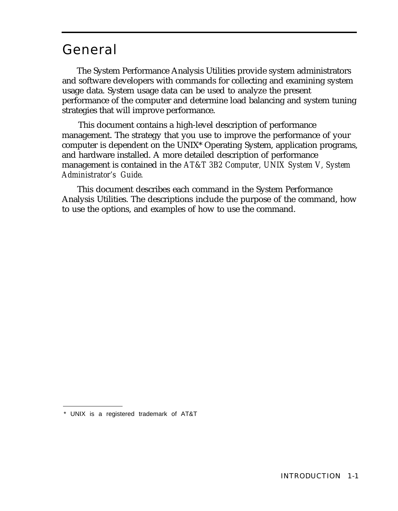### <span id="page-7-1"></span><span id="page-7-0"></span>General

The System Performance Analysis Utilities provide system administrators and software developers with commands for collecting and examining system usage data. System usage data can be used to analyze the present performance of the computer and determine load balancing and system tuning strategies that will improve performance.

This document contains a high-level description of performance management. The strategy that you use to improve the performance of your computer is dependent on the UNIX\* Operating System, application programs, and hardware installed. A more detailed description of performance management is contained in the *AT&T 3B2 Computer, UNIX System V, System Administrator's Guide.*

This document describes each command in the System Performance Analysis Utilities. The descriptions include the purpose of the command, how to use the options, and examples of how to use the command.

<sup>\*</sup> UNIX is a registered trademark of AT&T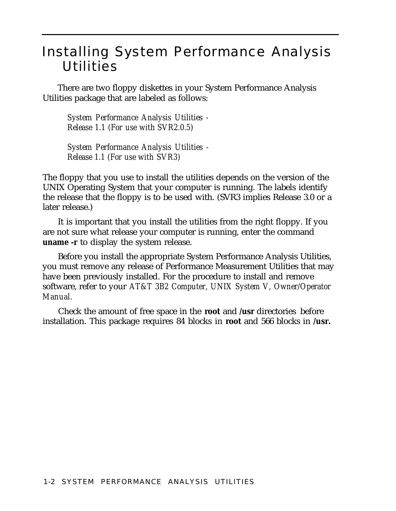## <span id="page-8-1"></span><span id="page-8-0"></span>Installing System Performance Analysis **Utilities**

There are two floppy diskettes in your System Performance Analysis Utilities package that are labeled as follows:

*System Performance Analysis Utilities - Release 1.1 (For use with SVR2.0.5)*

*System Performance Analysis Utilities - Release 1.1 (For use with SVR3)*

The floppy that you use to install the utilities depends on the version of the UNIX Operating System that your computer is running. The labels identify the release that the floppy is to be used with. (SVR3 implies Release 3.0 or a later release.)

It is important that you install the utilities from the right floppy. If you are not sure what release your computer is running, enter the command **uname -r** to display the system release.

Before you install the appropriate System Performance Analysis Utilities, you must remove any release of Performance Measurement Utilities that may have been previously installed. For the procedure to install and remove software, refer to your *AT&T 3B2 Computer, UNIX System V, Owner/Operator Manual.*

Check the amount of free space in the **root** and **/usr** directories before installation. This package requires 84 blocks in **root** and 566 blocks in **/usr.**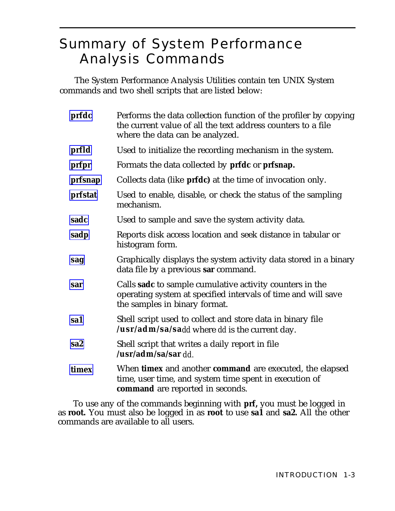## <span id="page-9-1"></span><span id="page-9-0"></span>Summary of System Performance Analysis Commands

The System Performance Analysis Utilities contain ten UNIX System commands and two shell scripts that are listed below:

| prfdc           | Performs the data collection function of the profiler by copying<br>the current value of all the text address counters to a file<br>where the data can be analyzed. |
|-----------------|---------------------------------------------------------------------------------------------------------------------------------------------------------------------|
| prfld           | Used to initialize the recording mechanism in the system.                                                                                                           |
| prfpr           | Formats the data collected by prfdc or prfsnap.                                                                                                                     |
| prfsnap         | Collects data (like <b>prfdc</b> ) at the time of invocation only.                                                                                                  |
| prfstat         | Used to enable, disable, or check the status of the sampling<br>mechanism.                                                                                          |
| sadc            | Used to sample and save the system activity data.                                                                                                                   |
| sadp            | Reports disk access location and seek distance in tabular or<br>histogram form.                                                                                     |
| sag             | Graphically displays the system activity data stored in a binary<br>data file by a previous sar command.                                                            |
| sar             | Calls sadc to sample cumulative activity counters in the<br>operating system at specified intervals of time and will save<br>the samples in binary format.          |
| sa1             | Shell script used to collect and store data in binary file<br>/ <b>usr/adm/sa/sa</b> <i>dd</i> where <i>dd</i> is the current day.                                  |
| sa <sub>2</sub> | Shell script that writes a daily report in file<br>/usr/adm/sa/sar dd.                                                                                              |
| timex           | When timex and another command are executed, the elapsed<br>time, user time, and system time spent in execution of<br>command are reported in seconds.              |

To use any of the commands beginning with **prf,** you must be logged in as **root.** You must also be logged in as **root** to use **sa1** and **sa2.** All the other commands are available to all users.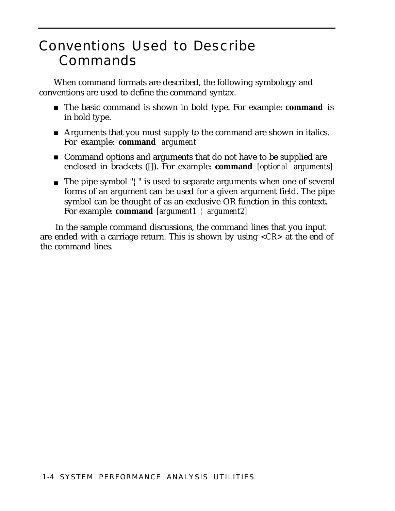## <span id="page-10-1"></span><span id="page-10-0"></span>Conventions Used to Describe Commands

When command formats are described, the following symbology and conventions are used to define the command syntax.

- The basic command is shown in bold type. For example: **command** is in bold type.
- Arguments that you must supply to the command are shown in italics. For example: **command** *argument*
- Command options and arguments that do not have to be supplied are enclosed in brackets ([]). For example: **command** *[optional arguments]*
- The pipe symbol "¦" is used to separate arguments when one of several forms of an argument can be used for a given argument field. The pipe symbol can be thought of as an exclusive OR function in this context. For example: **command** *[argument1* ¦ *argument2]*

In the sample command discussions, the command lines that you input are ended with a carriage return. This is shown by using *<CR>* at the end of the command lines.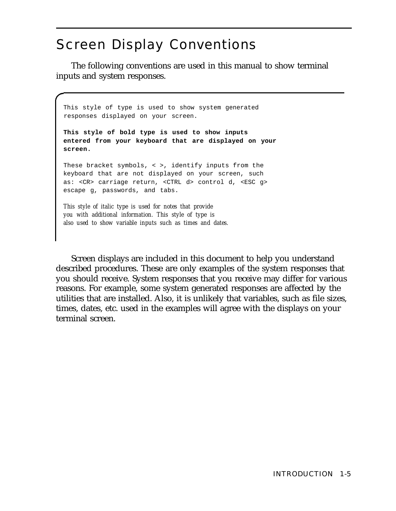## <span id="page-11-1"></span><span id="page-11-0"></span>Screen Display Conventions

The following conventions are used in this manual to show terminal inputs and system responses.

This style of type is used to show system generated responses displayed on your screen. **This style of bold type is used to show inputs entered from your keyboard that are displayed on your screen.** These bracket symbols, < >, identify inputs from the keyboard that are not displayed on your screen, such

as: <CR> carriage return, <CTRL d> control d, <ESC g> escape g, passwords, and tabs.

*This style of italic type is used for notes that provide you with additional information. This style of type is also used to show variable inputs such as times and dates.*

Screen displays are included in this document to help you understand described procedures. These are only examples of the system responses that you should receive. System responses that you receive may differ for various reasons. For example, some system generated responses are affected by the utilities that are installed. Also, it is unlikely that variables, such as file sizes, times, dates, etc. used in the examples will agree with the displays on your terminal screen.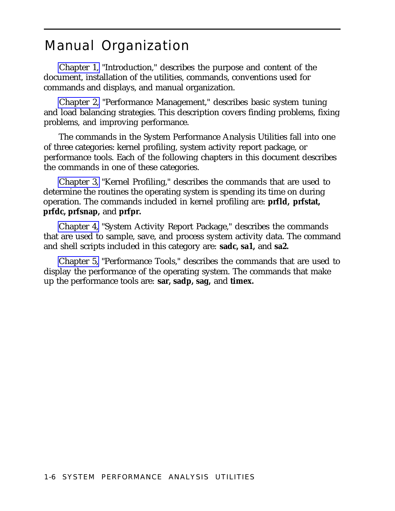### <span id="page-12-1"></span><span id="page-12-0"></span>Manual Organization

[Chapter 1,](#page-6-1) "Introduction," describes the purpose and content of the document, installation of the utilities, commands, conventions used for commands and displays, and manual organization.

[Chapter 2,](#page-13-1) "Performance Management," describes basic system tuning and load balancing strategies. This description covers finding problems, fixing problems, and improving performance.

The commands in the System Performance Analysis Utilities fall into one of three categories: kernel profiling, system activity report package, or performance tools. Each of the following chapters in this document describes the commands in one of these categories.

[Chapter 3,](#page-18-1) "Kernel Profiling," describes the commands that are used to determine the routines the operating system is spending its time on during operation. The commands included in kernel profiling are: **prfld, prfstat, prfdc, prfsnap,** and **prfpr.**

[Chapter 4,](#page-28-1) "System Activity Report Package," describes the commands that are used to sample, save, and process system activity data. The command and shell scripts included in this category are: **sadc, sa1,** and **sa2.**

[Chapter 5,](#page-33-1) "Performance Tools," describes the commands that are used to display the performance of the operating system. The commands that make up the performance tools are: **sar, sadp, sag,** and **timex.**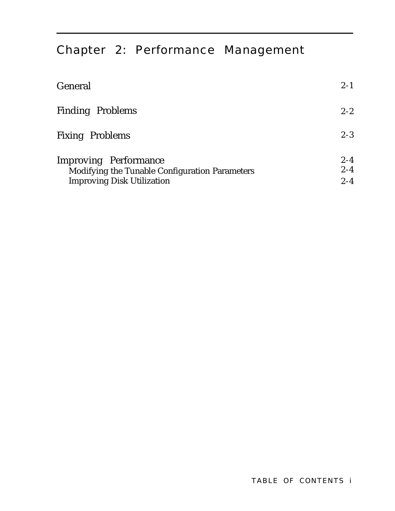## <span id="page-13-1"></span><span id="page-13-0"></span>Chapter 2: Performance Management

| General                                                                                                             | $2 - 1$                       |
|---------------------------------------------------------------------------------------------------------------------|-------------------------------|
| <b>Finding Problems</b>                                                                                             | $2 - 2$                       |
| <b>Fixing Problems</b>                                                                                              | $2 - 3$                       |
| <b>Improving Performance</b><br>Modifying the Tunable Configuration Parameters<br><b>Improving Disk Utilization</b> | $2 - 4$<br>$2 - 4$<br>$2 - 4$ |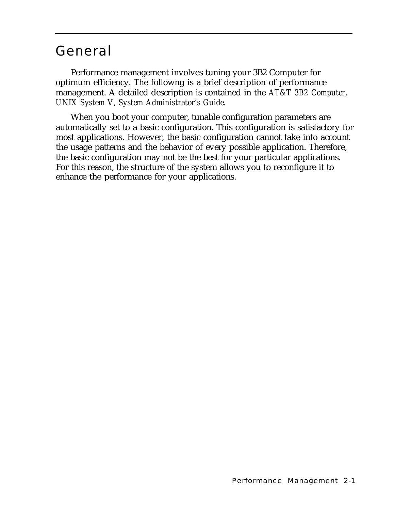## <span id="page-14-1"></span><span id="page-14-0"></span>General

Performance management involves tuning your 3B2 Computer for optimum efficiency. The followng is a brief description of performance management. A detailed description is contained in the *AT&T 3B2 Computer, UNIX System V, System Administrator's Guide.*

When you boot your computer, tunable configuration parameters are automatically set to a basic configuration. This configuration is satisfactory for most applications. However, the basic configuration cannot take into account the usage patterns and the behavior of every possible application. Therefore, the basic configuration may not be the best for your particular applications. For this reason, the structure of the system allows you to reconfigure it to enhance the performance for your applications.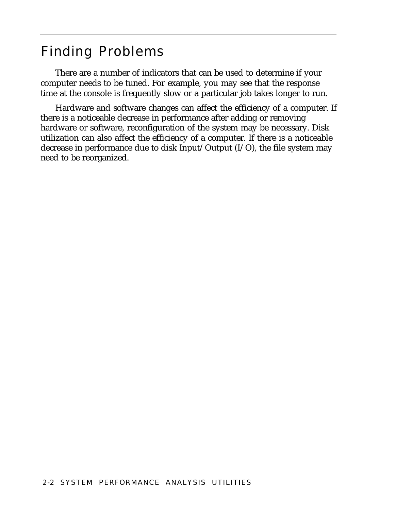## <span id="page-15-1"></span><span id="page-15-0"></span>Finding Problems

There are a number of indicators that can be used to determine if your computer needs to be tuned. For example, you may see that the response time at the console is frequently slow or a particular job takes longer to run.

Hardware and software changes can affect the efficiency of a computer. If there is a noticeable decrease in performance after adding or removing hardware or software, reconfiguration of the system may be necessary. Disk utilization can also affect the efficiency of a computer. If there is a noticeable decrease in performance due to disk Input/Output (I/O), the file system may need to be reorganized.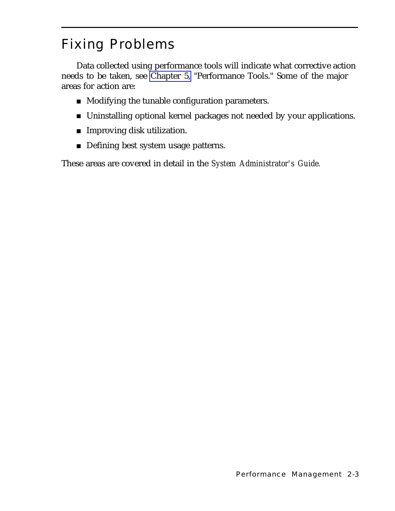## <span id="page-16-1"></span><span id="page-16-0"></span>Fixing Problems

Data collected using performance tools will indicate what corrective action needs to be taken, see [Chapter 5,](#page-33-1) "Performance Tools." Some of the major areas for action are:

- Modifying the tunable configuration parameters.
- Uninstalling optional kernel packages not needed by your applications.
- Improving disk utilization.
- Defining best system usage patterns.

These areas are covered in detail in the *System Administrator's Guide.*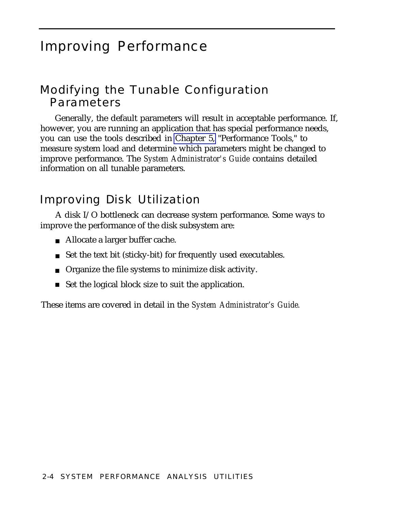### <span id="page-17-1"></span><span id="page-17-0"></span>Improving Performance

### Modifying the Tunable Configuration Parameters

Generally, the default parameters will result in acceptable performance. If, however, you are running an application that has special performance needs, you can use the tools described in [Chapter 5,](#page-33-2) "Performance Tools," to measure system load and determine which parameters might be changed to improve performance. The *System Administrator's Guide* contains detailed information on all tunable parameters.

### Improving Disk Utilization

A disk I/O bottleneck can decrease system performance. Some ways to improve the performance of the disk subsystem are:

- Allocate a larger buffer cache.
- Set the text bit (sticky-bit) for frequently used executables.
- Organize the file systems to minimize disk activity.
- Set the logical block size to suit the application.

These items are covered in detail in the *System Administrator's Guide.*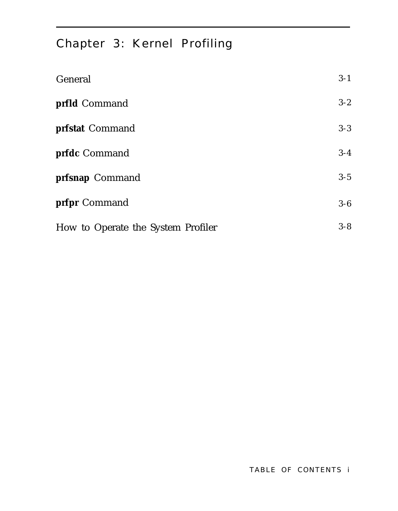## <span id="page-18-1"></span><span id="page-18-0"></span>Chapter 3: Kernel Profiling

| General                            | $3 - 1$ |
|------------------------------------|---------|
| prfld Command                      | $3 - 2$ |
| prfstat Command                    | $3 - 3$ |
| prfdc Command                      | $3 - 4$ |
| prfsnap Command                    | $3 - 5$ |
| prfpr Command                      | $3 - 6$ |
| How to Operate the System Profiler | $3 - 8$ |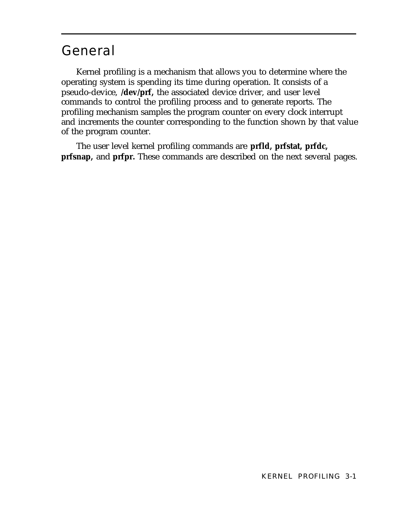## <span id="page-19-2"></span><span id="page-19-1"></span><span id="page-19-0"></span>General

Kernel profiling is a mechanism that allows you to determine where the operating system is spending its time during operation. It consists of a pseudo-device, **/dev/prf,** the associated device driver, and user level commands to control the profiling process and to generate reports. The profiling mechanism samples the program counter on every clock interrupt and increments the counter corresponding to the function shown by that value of the program counter.

The user level kernel profiling commands are **prfld, prfstat, prfdc, prfsnap,** and **prfpr.** These commands are described on the next several pages.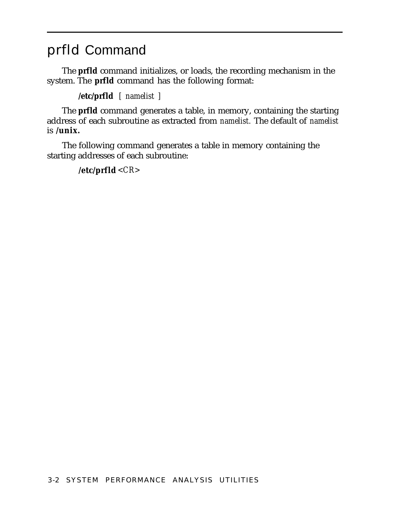## <span id="page-20-2"></span><span id="page-20-1"></span><span id="page-20-0"></span>prfld Command

The **prfld** command initializes, or loads, the recording mechanism in the system. The **prfld** command has the following format:

**/etc/prfld** *[ namelist ]*

The **prfld** command generates a table, in memory, containing the starting address of each subroutine as extracted from *namelist.* The default of *namelist* is **/unix.**

The following command generates a table in memory containing the starting addresses of each subroutine:

**/etc/prfld** *<CR>*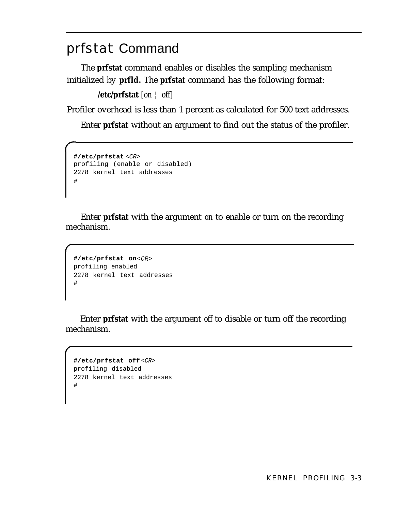## <span id="page-21-2"></span><span id="page-21-1"></span><span id="page-21-0"></span>prfstat Command

The **prfstat** command enables or disables the sampling mechanism initialized by **prfld.** The **prfstat** command has the following format:

**/etc/prfstat** *[on* ¦ *off]*

Profiler overhead is less than 1 percent as calculated for 500 text addresses.

Enter **prfstat** without an argument to find out the status of the profiler.

```
#/etc/prfstat <CR>
profiling (enable or disabled)
2278 kernel text addresses
#
```
Enter **prfstat** with the argument *on* to enable or turn on the recording mechanism.

```
#/etc/prfstat on<CR>
profiling enabled
2278 kernel text addresses
#
```
Enter **prfstat** with the argument *off* to disable or turn off the recording mechanism.

```
#/etc/prfstat off <CR>
profiling disabled
2278 kernel text addresses
#
```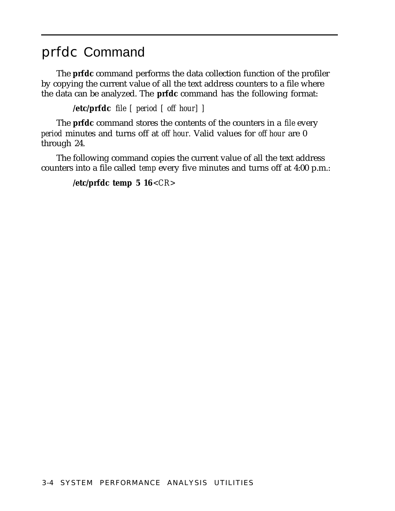### <span id="page-22-2"></span><span id="page-22-1"></span><span id="page-22-0"></span>prfdc Command

The **prfdc** command performs the data collection function of the profiler by copying the current value of all the text address counters to a file where the data can be analyzed. The **prfdc** command has the following format:

**/etc/prfdc** *file [ period [ off hour] ]*

The **prfdc** command stores the contents of the counters in a *file* every *period* minutes and turns off at *off hour.* Valid values for *off hour* are 0 through 24.

The following command copies the current value of all the text address counters into a file called *temp* every five minutes and turns off at 4:00 p.m.:

**/etc/prfdc temp 5 16***<CR>*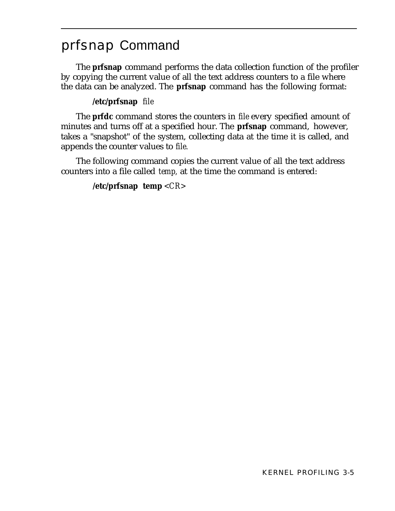## <span id="page-23-2"></span><span id="page-23-1"></span><span id="page-23-0"></span>prfsnap Command

The **prfsnap** command performs the data collection function of the profiler by copying the current value of all the text address counters to a file where the data can be analyzed. The **prfsnap** command has the following format:

#### **/etc/prfsnap** *file*

The **prfdc** command stores the counters in *file* every specified amount of minutes and turns off at a specified hour. The **prfsnap** command, however, takes a "snapshot" of the system, collecting data at the time it is called, and appends the counter values to *file.*

The following command copies the current value of all the text address counters into a file called *temp,* at the time the command is entered:

#### **/etc/prfsnap temp** *<CR>*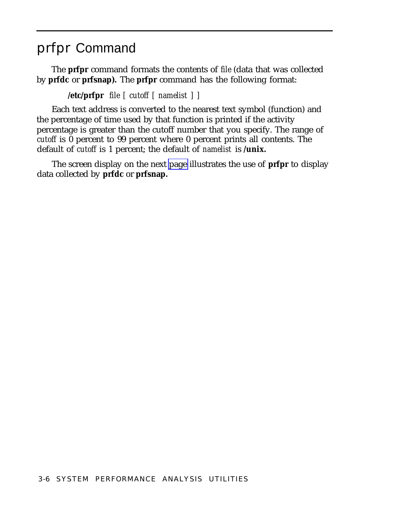### <span id="page-24-2"></span><span id="page-24-1"></span><span id="page-24-0"></span>prfpr Command

The **prfpr** command formats the contents of *file* (data that was collected by **prfdc** or **prfsnap).** The **prfpr** command has the following format:

#### **/etc/prfpr** *file [ cutoff [ namelist ] ]*

Each text address is converted to the nearest text symbol (function) and the percentage of time used by that function is printed if the activity percentage is greater than the cutoff number that you specify. The range of *cutoff* is 0 percent to 99 percent where 0 percent prints all contents. The default of *cutoff* is 1 percent; the default of *namelist* is **/unix.**

The screen display on the next [page](#page-25-0) illustrates the use of **prfpr** to display data collected by **prfdc** or **prfsnap.**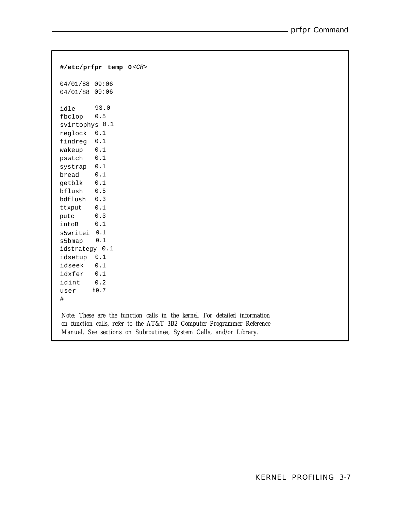```
#/etc/prfpr temp 0<CR>
04/01/88 09:06
04/01/88 09:06
idle 93.0
fbclop 0.5
svirtophys 0.1
reglock
0.1
findreg
0.1
wakeup
0.1
pswtch
0.1
systrap
0.1
bread
getblk
0.1
bflush
0.5
bdflush
0.3
ttxput
0.1
putc
intoB
        0.1
         0.3
         0.1
s5writei 0.1
s5bmap 0.1
idstrategy 0.1
idsetup
0.1
idseek
0.1
idxfer
0.1
idint
user
#
         0.2
        h0.7
Note: These are the function calls in the kernel. For detailed information
on function calls, refer to the AT&T 3B2 Computer Programmer Reference
 Manual. See sections on Subroutines, System Calls, and/or Library.
```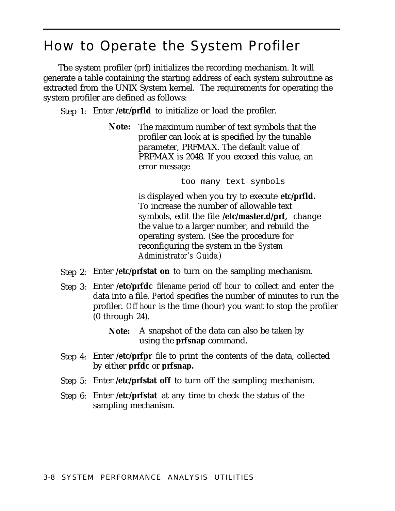### <span id="page-26-1"></span><span id="page-26-0"></span>How to Operate the System Profiler

The system profiler (prf) initializes the recording mechanism. It will generate a table containing the starting address of each system subroutine as extracted from the UNIX System kernel. The requirements for operating the system profiler are defined as follows:

Step 1: Enter **/etc/prfld** to initialize or load the profiler.

**Note:** The maximum number of text symbols that the profiler can look at is specified by the tunable parameter, PRFMAX. The default value of PRFMAX is 2048. If you exceed this value, an error message

too many text symbols

is displayed when you try to execute **etc/prfld.** To increase the number of allowable text symbols, edit the file **/etc/master.d/prf,** change the value to a larger number, and rebuild the operating system. (See the procedure for reconfiguring the system in the *System Administrator's Guide.)*

- Step 2: Enter **/etc/prfstat on** to turn on the sampling mechanism.
- Step 3: Enter **/etc/prfdc** *filename period off hour* to collect and enter the data into a file. *Period* specifies the number of minutes to run the profiler. *Off hour* is the time (hour) you want to stop the profiler (0 through 24).
	- **Note:** A snapshot of the data can also be taken by using the **prfsnap** command.
- Step 4: Enter **/etc/prfpr** *file* to print the contents of the data, collected by either **prfdc** or **prfsnap.**
- Step 5: Enter **/etc/prfstat off** to turn off the sampling mechanism.
- Step 6: Enter **/etc/prfstat** at any time to check the status of the sampling mechanism.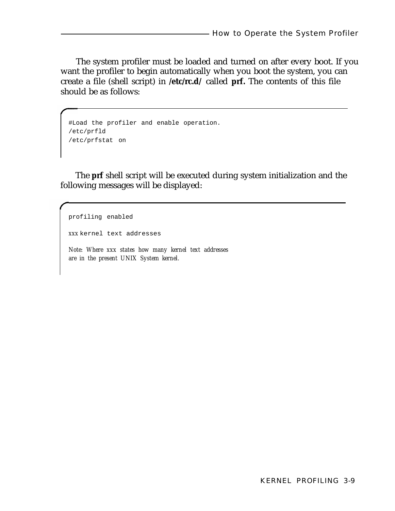<span id="page-27-0"></span>The system profiler must be loaded and turned on after every boot. If you want the profiler to begin automatically when you boot the system, you can create a file (shell script) in **/etc/rc.d/** called **prf.** The contents of this file should be as follows:

```
#Load the profiler and enable operation.
/etc/prfld
/etc/prfstat on
```
The **prf** shell script will be executed during system initialization and the following messages will be displayed:

profiling enabled *xxx* kernel text addresses *Note: Where xxx states how many kernel text addresses are in the present UNIX System kernel.*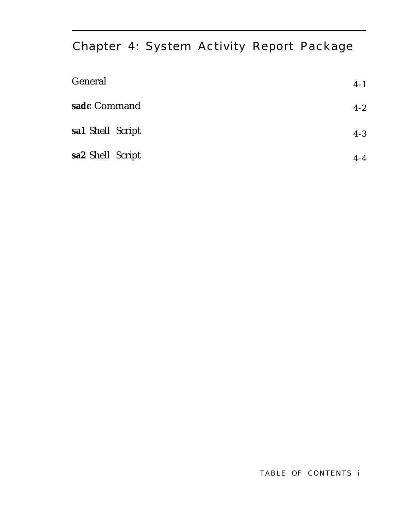## <span id="page-28-1"></span><span id="page-28-0"></span>Chapter 4: System Activity Report Package

| General          | $4 - 1$ |
|------------------|---------|
| sadc Command     | $4 - 2$ |
| sa1 Shell Script | $4 - 3$ |
| sa2 Shell Script | $4 - 4$ |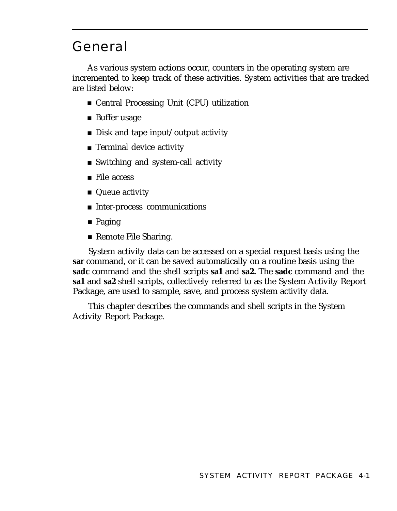## <span id="page-29-0"></span>General

As various system actions occur, counters in the operating system are incremented to keep track of these activities. System activities that are tracked are listed below:

- Central Processing Unit (CPU) utilization
- Buffer usage
- Disk and tape input/output activity
- Terminal device activity
- Switching and system-call activity
- File access
- Queue activity
- Inter-process communications
- Paging
- Remote File Sharing.

System activity data can be accessed on a special request basis using the **sar** command, or it can be saved automatically on a routine basis using the **sadc** command and the shell scripts **sa1** and **sa2.** The **sadc** command and the **sa1** and **sa2** shell scripts, collectively referred to as the System Activity Report Package, are used to sample, save, and process system activity data.

This chapter describes the commands and shell scripts in the System Activity Report Package.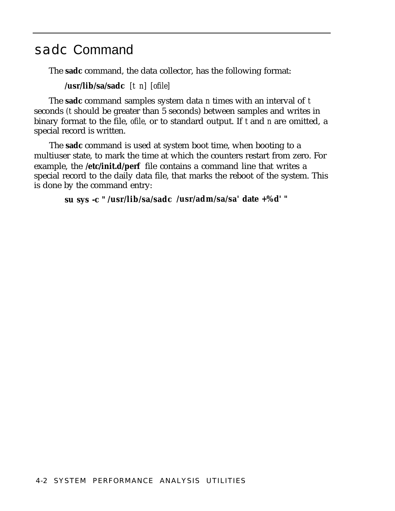### <span id="page-30-2"></span><span id="page-30-1"></span><span id="page-30-0"></span>sadc Command

The **sadc** command, the data collector, has the following format:

**/usr/lib/sa/sadc** *[t n] [ofile]*

The **sadc** command samples system data *n* times with an interval of *t* seconds *(t* should be greater than 5 seconds) between samples and writes in binary format to the file, *ofile,* or to standard output. If *t* and *n* are omitted, a special record is written.

The **sadc** command is used at system boot time, when booting to a multiuser state, to mark the time at which the counters restart from zero. For example, the **/etc/init.d/perf** file contains a command line that writes a special record to the daily data file, that marks the reboot of the system. This is done by the command entry:

```
su sys -c " /usr/lib/sa/sadc /usr/adm/sa/sa' date +%d' "
```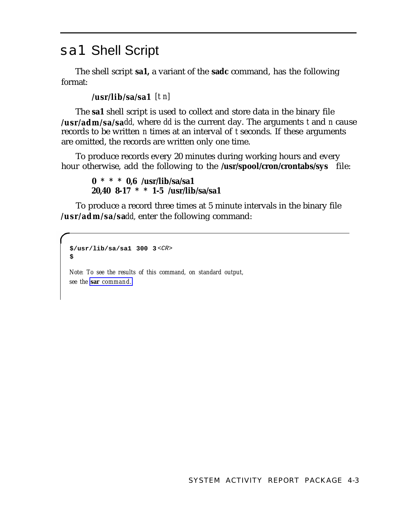### <span id="page-31-2"></span><span id="page-31-1"></span><span id="page-31-0"></span>sa1 Shell Script

The shell script **sa1,** a variant of the **sadc** command, has the following format:

**/usr/lib/sa/sa1** *[t n]*

The **sa1** shell script is used to collect and store data in the binary file **/usr/adm/sa/sa***dd,* where *dd* is the current day. The arguments *t* and *n* cause records to be written *n* times at an interval of *t* seconds. If these arguments are omitted, the records are written only one time.

To produce records every 20 minutes during working hours and every hour otherwise, add the following to the **/usr/spool/cron/crontabs/sys** file:

```
0 * * * 0,6 /usr/lib/sa/sa1
20,40 8-17 * * 1-5 /usr/lib/sa/sa1
```
To produce a record three times at 5 minute intervals in the binary file **/usr/adm/sa/sa***dd,* enter the following command:

```
$/usr/lib/sa/sa1 300 3 <CR>
$
```
*Note: To see the results of this command, on standard output, see the* **sar** *[command.](#page-35-1)*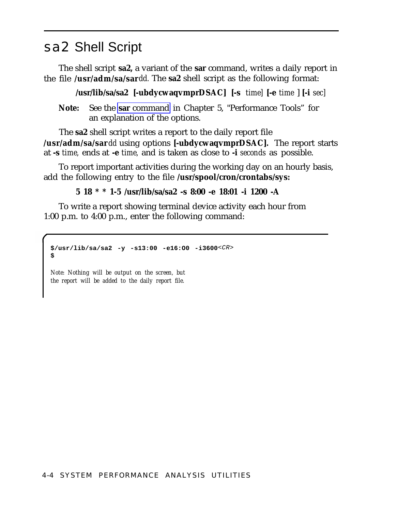## <span id="page-32-2"></span><span id="page-32-1"></span><span id="page-32-0"></span>sa2 Shell Script

The shell script **sa2,** a variant of the **sar** command, writes a daily report in the file **/usr/adm/sa/sar***dd.* The **sa2** shell script as the following format:

**/usr/lib/sa/sa2 [-ubdycwaqvmprDSAC] [-s** *time]* **[-e** *time* ] **[-i** *sec]*

**Note:** See the **sar** [command](#page-35-2) in Chapter 5, "Performance Tools" for an explanation of the options.

The **sa2** shell script writes a report to the daily report file **/usr/adm/sa/sar** *dd* using options **[-ubdycwaqvmprDSAC].** The report starts at **-s** *time,* ends at **-e** *time,* and is taken as close to **-i** *seconds* as possible.

To report important activities during the working day on an hourly basis, add the following entry to the file **/usr/spool/cron/crontabs/sys:**

**5 18 \* \* 1-5 /usr/lib/sa/sa2 -s 8:00 -e 18:01 -i 1200 -A**

To write a report showing terminal device activity each hour from 1:00 p.m. to 4:00 p.m., enter the following command:

```
$/usr/lib/sa/sa2 -y -s13:00 -e16:O0 -i3600<CR>
$
```
*Note: Nothing will be output on the screen, but the report will be added to the daily report file.*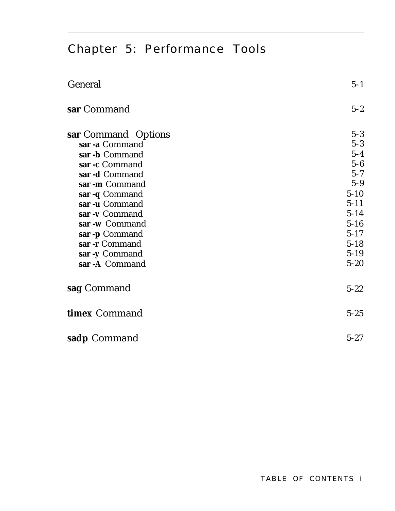## <span id="page-33-2"></span><span id="page-33-1"></span><span id="page-33-0"></span>Chapter 5: Performance Tools

| General                    | $5 - 1$  |
|----------------------------|----------|
| sar Command                | $5 - 2$  |
| <b>sar</b> Command Options | $5 - 3$  |
| sar -a Command             | $5 - 3$  |
| sar -b Command             | $5 - 4$  |
| sar -c Command             | $5 - 6$  |
| sar -d Command             | $5 - 7$  |
| sar -m Command             | $5 - 9$  |
| sar -q Command             | $5 - 10$ |
| sar -u Command             | $5 - 11$ |
| sar -v Command             | $5 - 14$ |
| sar -w Command             | $5 - 16$ |
| sar -p Command             | $5 - 17$ |
| sar -r Command             | $5 - 18$ |
| sar -y Command             | $5 - 19$ |
| sar -A Command             | $5 - 20$ |
| sag Command                | $5 - 22$ |
| timex Command              | $5 - 25$ |
| sadp Command               | $5 - 27$ |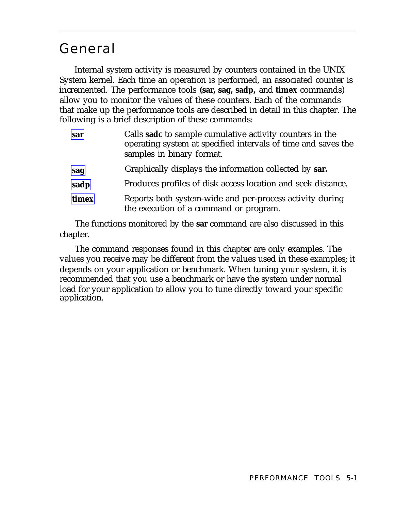### <span id="page-34-1"></span><span id="page-34-0"></span>General

Internal system activity is measured by counters contained in the UNIX System kernel. Each time an operation is performed, an associated counter is incremented. The performance tools **(sar, sag, sadp,** and **timex** commands) allow you to monitor the values of these counters. Each of the commands that make up the performance tools are described in detail in this chapter. The following is a brief description of these commands:

| sar   | Calls sadc to sample cumulative activity counters in the<br>operating system at specified intervals of time and saves the<br>samples in binary format. |
|-------|--------------------------------------------------------------------------------------------------------------------------------------------------------|
| sag   | Graphically displays the information collected by sar.                                                                                                 |
| sadp  | Produces profiles of disk access location and seek distance.                                                                                           |
| timex | Reports both system-wide and per-process activity during<br>the execution of a command or program.                                                     |

The functions monitored by the **sar** command are also discussed in this chapter.

The command responses found in this chapter are only examples. The values you receive may be different from the values used in these examples; it depends on your application or benchmark. When tuning your system, it is recommended that you use a benchmark or have the system under normal load for your application to allow you to tune directly toward your specific application.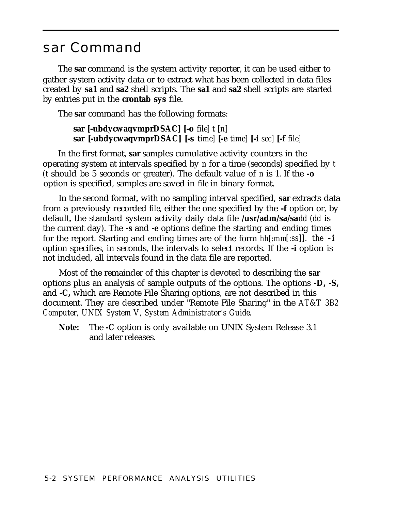### <span id="page-35-3"></span><span id="page-35-2"></span><span id="page-35-1"></span><span id="page-35-0"></span>sar Command

The **sar** command is the system activity reporter, it can be used either to gather system activity data or to extract what has been collected in data files created by **sa1** and **sa2** shell scripts. The **sa1** and **sa2** shell scripts are started by entries put in the **crontab sys** file.

The **sar** command has the following formats:

**sar [-ubdycwaqvmprDSAC] [-o** *file] t [n]* **sar [-ubdycwaqvmprDSAC] [-s** *time]* **[-e** *time]* **[-i** *sec]* **[-f** *file]*

In the first format, **sar** samples cumulative activity counters in the operating system at intervals specified by *n* for a time (seconds) specified by *t (t* should be 5 seconds or greater). The default value of *n* is 1. If the **-o** option is specified, samples are saved in *file* in binary format.

In the second format, with no sampling interval specified, **sar** extracts data from a previously recorded *file,* either the one specified by the **-f** option or, by default, the standard system activity daily data file **/usr/adm/sa/sa***dd (dd* is the current day). The **-s** and **-e** options define the starting and ending times for the report. Starting and ending times are of the form *hh[:mm[:ss]]. the* **-i** option specifies, in seconds, the intervals to select records. If the **-i** option is not included, all intervals found in the data file are reported.

Most of the remainder of this chapter is devoted to describing the **sar** options plus an analysis of sample outputs of the options. The options **-D, -S,** and **-C,** which are Remote File Sharing options, are not described in this document. They are described under "Remote File Sharing" in the *AT&T 3B2 Computer, UNIX System V, System Administrator's Guide.*

**Note:** The **-C** option is only available on UNIX System Release 3.1 and later releases.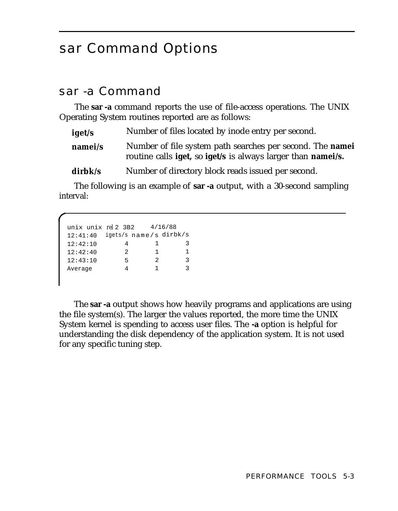## <span id="page-36-1"></span><span id="page-36-0"></span>sar Command Options

### sar -a Command

The **sar -a** command reports the use of file-access operations. The UNIX Operating System routines reported are as follows:

| iget/s             | Number of files located by inode entry per second.                                                                               |
|--------------------|----------------------------------------------------------------------------------------------------------------------------------|
| namei/s            | Number of file system path searches per second. The <b>namei</b><br>routine calls iget, so iget/s is always larger than namei/s. |
| $\mathbf{dirbk/s}$ | Number of directory block reads issued per second.                                                                               |

The following is an example of **sar -a** output, with a 30-second sampling interval:

```
unix unix rel 2 3B2 4/16/88
12:41:40 igets/s name/s dirbk/s
12:42:10 4 1 3
12:42:40 2 1 1
12:43:10 5 2 3
Average 4 1 3
```
The **sar -a** output shows how heavily programs and applications are using the file system(s). The larger the values reported, the more time the UNIX System kernel is spending to access user files. The **-a** option is helpful for understanding the disk dependency of the application system. It is not used for any specific tuning step.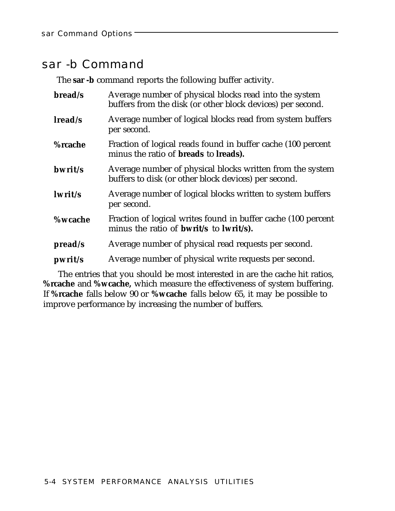### <span id="page-37-1"></span><span id="page-37-0"></span>sar -b Command

The **sar -b** command reports the following buffer activity.

| bread/s        | Average number of physical blocks read into the system<br>buffers from the disk (or other block devices) per second.     |
|----------------|--------------------------------------------------------------------------------------------------------------------------|
| lread/s        | Average number of logical blocks read from system buffers<br>per second.                                                 |
| %rcache        | Fraction of logical reads found in buffer cache (100 percent<br>minus the ratio of <b>breads</b> to <b>lreads</b> ).     |
| bwrit/s        | Average number of physical blocks written from the system<br>buffers to disk (or other block devices) per second.        |
| lwrit/s        | Average number of logical blocks written to system buffers<br>per second.                                                |
| <b>%wcache</b> | Fraction of logical writes found in buffer cache (100 percent<br>minus the ratio of <b>bwrit</b> /s to <b>lwrit</b> /s). |
| pread/s        | Average number of physical read requests per second.                                                                     |
| pwrit/s        | Average number of physical write requests per second.                                                                    |

The entries that you should be most interested in are the cache hit ratios, **%rcache** and **%wcache,** which measure the effectiveness of system buffering. If **%rcache** falls below 90 or **%wcache** falls below 65, it may be possible to improve performance by increasing the number of buffers.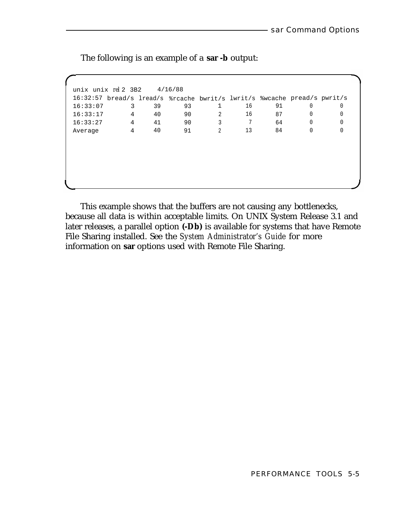unix unix *rel* 2 3B2 4/16/88 16:32:57 bread/s lread/s %rcache bwrit/s lwrit/s %wcache pread/s pwrit/s 16:33:07 3 39 93 1 16 91 0 0 16:33:17 4 40 90 2 16 87 0 0 16:33:27 4 41 90 3 7 64 0 0 Average 4 40 91 2 13 84 0 0

The following is an example of a **sar -b** output:

This example shows that the buffers are not causing any bottlenecks, because all data is within acceptable limits. On UNIX System Release 3.1 and later releases, a parallel option **(-Db)** is available for systems that have Remote File Sharing installed. See the *System Administrator's Guide* for more information on **sar** options used with Remote File Sharing.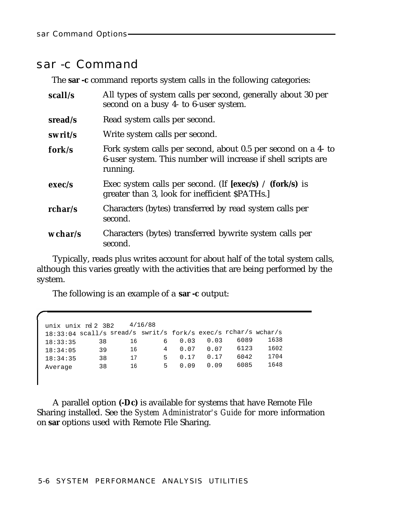#### <span id="page-39-0"></span>sar -c Command

The **sar -c** command reports system calls in the following categories:

| scall/s | All types of system calls per second, generally about 30 per<br>second on a busy 4- to 6-user system.                                      |
|---------|--------------------------------------------------------------------------------------------------------------------------------------------|
| sread/s | Read system calls per second.                                                                                                              |
| swrit/s | Write system calls per second.                                                                                                             |
| fork/s  | Fork system calls per second, about 0.5 per second on a 4- to<br>6-user system. This number will increase if shell scripts are<br>running. |
| exec/s  | Exec system calls per second. (If $[exec/s) / (fork/s)$ is<br>greater than 3, look for inefficient \$PATHs.]                               |
| rchar/s | Characters (bytes) transferred by read system calls per<br>second.                                                                         |
| wchar/s | Characters (bytes) transferred by write system calls per<br>second.                                                                        |

Typically, reads plus writes account for about half of the total system calls, although this varies greatly with the activities that are being performed by the system.

The following is an example of a **sar -c** output:

| unix unix rel 2 3B2                                            |    | 4/16/88 |    |      |      |      |      |
|----------------------------------------------------------------|----|---------|----|------|------|------|------|
| 18:33:04 scall/s sread/s swrit/s fork/s exec/s rchar/s wchar/s |    |         |    |      |      |      |      |
| 18:33:35                                                       | 38 | 16      | 6  | 0.03 | 0.03 | 6089 | 1638 |
| 18:34:05                                                       | 39 | 16      | 4  | 0.07 | 0.07 | 6123 | 1602 |
| 18:34:35                                                       | 38 | 17      | Б. | 0.17 | 0.17 | 6042 | 1704 |
| Average                                                        | 38 | 16      | 5. | 0.09 | 0.09 | 6085 | 1648 |

A parallel option **(-Dc)** is available for systems that have Remote File Sharing installed. See the *System Administrator's Guide* for more information on **sar** options used with Remote File Sharing.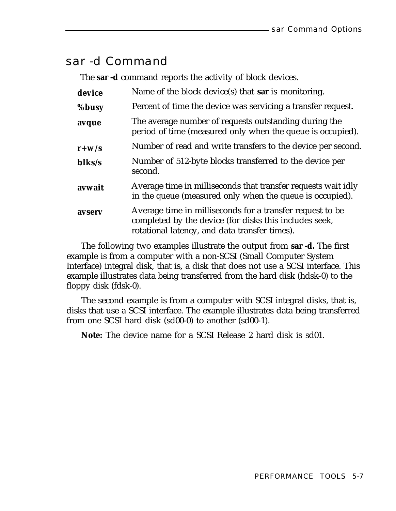### <span id="page-40-0"></span>sar -d Command

The **sar -d** command reports the activity of block devices.

| device    | Name of the block device(s) that sar is monitoring.                                                                                                                  |
|-----------|----------------------------------------------------------------------------------------------------------------------------------------------------------------------|
| %busy     | Percent of time the device was servicing a transfer request.                                                                                                         |
| avque     | The average number of requests outstanding during the<br>period of time (measured only when the queue is occupied).                                                  |
| $r + w/s$ | Number of read and write transfers to the device per second.                                                                                                         |
| blks/s    | Number of 512-byte blocks transferred to the device per<br>second.                                                                                                   |
| avwait    | Average time in milliseconds that transfer requests wait idly<br>in the queue (measured only when the queue is occupied).                                            |
| avserv    | Average time in milliseconds for a transfer request to be<br>completed by the device (for disks this includes seek,<br>rotational latency, and data transfer times). |

The following two examples illustrate the output from **sar -d.** The first example is from a computer with a non-SCSI (Small Computer System Interface) integral disk, that is, a disk that does not use a SCSI interface. This example illustrates data being transferred from the hard disk (hdsk-0) to the floppy disk (fdsk-0).

The second example is from a computer with SCSI integral disks, that is, disks that use a SCSI interface. The example illustrates data being transferred from one SCSI hard disk (sd00-0) to another (sd00-1).

**Note:** The device name for a SCSI Release 2 hard disk is sd01.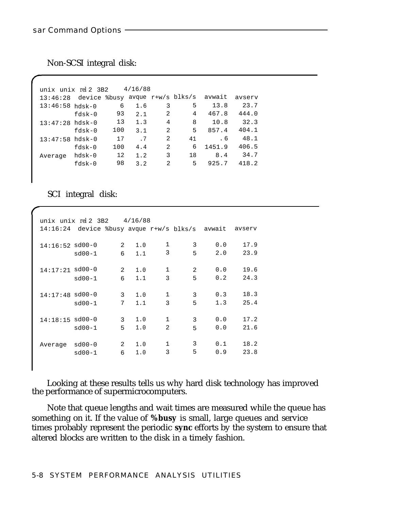Non-SCSI integral disk:

| unix unix rel 2 3B2 |          |     | 4/16/88 |   |    |                                        |        |
|---------------------|----------|-----|---------|---|----|----------------------------------------|--------|
| 13:46:28            |          |     |         |   |    | device %busy avque r+w/s blks/s avwait | avserv |
| $13:46:58$ hdsk-0   |          | 6   | 1.6     | 3 | 5  | 13.8                                   | 23.7   |
|                     | $fdsk-0$ | 93  | 2.1     | 2 | 4  | 467.8                                  | 444.0  |
| $13:47:28$ hdsk-0   |          | 13  | 1.3     | 4 | 8  | 10.8                                   | 32.3   |
|                     | $fdsk-0$ | 100 | 3.1     | 2 | 5  | 857.4                                  | 404.1  |
| $13:47:58$ hdsk-0   |          | 17  | .7      | 2 | 41 | . 6                                    | 48.1   |
|                     | $fdsk-0$ | 100 | 4.4     | 2 | 6  | 1451.9                                 | 406.5  |
| Average             | $hdsk-0$ | 12  | 1.2     | 3 | 18 | 8.4                                    | 34.7   |
|                     | $fdsk-0$ | 98  | 3.2     | 2 | 5  | 925.7                                  | 418.2  |

SCI integral disk:

|                   | unix unix $rel$ 2 3B2 $4/16/88$        |   |     |              |   |     |        |
|-------------------|----------------------------------------|---|-----|--------------|---|-----|--------|
| 14:16:24          | device %busy avque r+w/s blks/s avwait |   |     |              |   |     | avserv |
| $14:16:52$ sd00-0 |                                        | 2 | 1.0 | 1            | 3 | 0.0 | 17.9   |
|                   | $sd00-1$                               | 6 | 1.1 | 3            | 5 | 2.0 | 23.9   |
|                   |                                        |   |     |              |   |     |        |
| 14:17:21 sd00-0   |                                        | 2 | 1.0 | $\mathbf{1}$ | 2 | 0.0 | 19.6   |
|                   | $sd00-1$                               | 6 | 1.1 | 3            | 5 | 0.2 | 24.3   |
|                   |                                        |   |     |              |   |     |        |
| $14:17:48$ sd00-0 |                                        | 3 | 1.0 | $\mathbf{1}$ | 3 | 0.3 | 18.3   |
|                   | $sd00-1$                               | 7 | 1.1 | 3            | 5 | 1.3 | 25.4   |
|                   |                                        |   |     |              |   |     |        |
| $14:18:15$ sd00-0 |                                        | 3 | 1.0 | 1            | 3 | 0.0 | 17.2   |
|                   | $sd00-1$                               | 5 | 1.0 | 2            | 5 | 0.0 | 21.6   |
|                   |                                        |   |     |              | 3 |     |        |
| Average           | $sd00-0$                               | 2 | 1.0 | $\mathbf{1}$ |   | 0.1 | 18.2   |
|                   | $sd00-1$                               | 6 | 1.0 | 3            | 5 | 0.9 | 23.8   |

Looking at these results tells us why hard disk technology has improved the performance of supermicrocomputers.

Note that queue lengths and wait times are measured while the queue has something on it. If the value of **%busy** is small, large queues and service times probably represent the periodic **sync** efforts by the system to ensure that altered blocks are written to the disk in a timely fashion.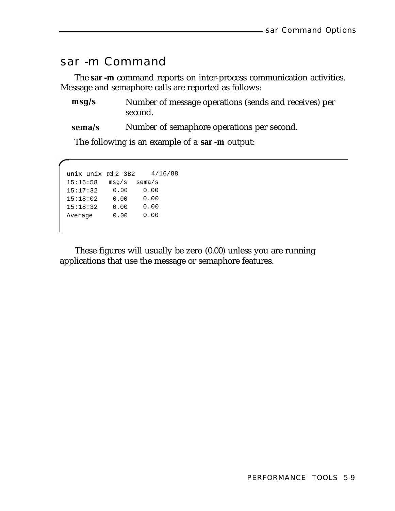### <span id="page-42-0"></span>sar -m Command

The **sar -m** command reports on inter-process communication activities. Message and semaphore calls are reported as follows:

- **msg/s** Number of message operations (sends and receives) per second.
- **sema/s** Number of semaphore operations per second.

The following is an example of a **sar -m** output:

```
unix unix rel 2 3B2 4/16/88
15:16:58 msg/s sema/s
15:17:32 0.00 0.00
15:18:02 0.00 0.00
15:18:32 0.00 0.00
Average 0.00 0.00
```
These figures will usually be zero (0.00) unless you are running applications that use the message or semaphore features.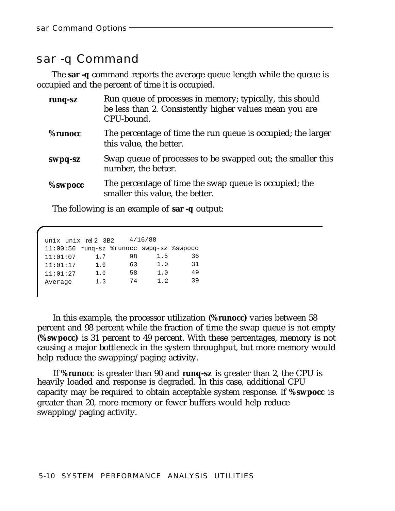### <span id="page-43-0"></span>sar -q Command

The **sar -q** command reports the average queue length while the queue is occupied and the percent of time it is occupied.

| runq-sz        | Run queue of processes in memory; typically, this should<br>be less than 2. Consistently higher values mean you are<br>CPU-bound. |
|----------------|-----------------------------------------------------------------------------------------------------------------------------------|
| <b>%runocc</b> | The percentage of time the run queue is occupied; the larger<br>this value, the better.                                           |
| swpq-sz        | Swap queue of processes to be swapped out; the smaller this<br>number, the better.                                                |
| <b>%swpocc</b> | The percentage of time the swap queue is occupied; the<br>smaller this value, the better.                                         |

The following is an example of **sar -q** output:

|          | unix unix rel 2 3B2                      |    | 4/16/88 |    |
|----------|------------------------------------------|----|---------|----|
|          | 11:00:56 rung-sz %runocc swpg-sz %swpocc |    |         |    |
| 11:01:07 | 1.7                                      | 98 | 1.5     | 36 |
| 11:01:17 | 1.0                                      | 63 | 1.0     | 31 |
| 11:01:27 | 1.0                                      | 58 | 1.0     | 49 |
| Average  | 1.3                                      | 74 | 1.2     | 39 |

In this example, the processor utilization **(%runocc)** varies between 58 percent and 98 percent while the fraction of time the swap queue is not empty **(%swpocc)** is 31 percent to 49 percent. With these percentages, memory is not causing a major bottleneck in the system throughput, but more memory would help reduce the swapping/paging activity.

If **%runocc** is greater than 90 and **runq-sz** is greater than 2, the CPU is heavily loaded and response is degraded. In this case, additional CPU capacity may be required to obtain acceptable system response. If **%swpocc** is greater than 20, more memory or fewer buffers would help reduce swapping/paging activity.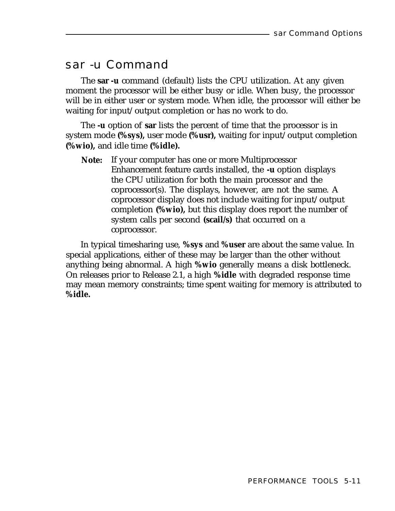### <span id="page-44-0"></span>sar -u Command

The **sar -u** command (default) lists the CPU utilization. At any given moment the processor will be either busy or idle. When busy, the processor will be in either user or system mode. When idle, the processor will either be waiting for input/output completion or has no work to do.

The **-u** option of **sar** lists the percent of time that the processor is in system mode **(%sys),** user mode **(%usr),** waiting for input/output completion **(%wio),** and idle time **(%idle).**

**Note:** If your computer has one or more Multiprocessor Enhancement feature cards installed, the **-u** option displays the CPU utilization for both the main processor and the coprocessor(s). The displays, however, are not the same. A coprocessor display does not include waiting for input/output completion **(%wio),** but this display does report the number of system calls per second **(scail/s)** that occurred on a coprocessor.

In typical timesharing use, **%sys** and **%user** are about the same value. In special applications, either of these may be larger than the other without anything being abnormal. A high **%wio** generally means a disk bottleneck. On releases prior to Release 2.1, a high **%idle** with degraded response time may mean memory constraints; time spent waiting for memory is attributed to **%idle.**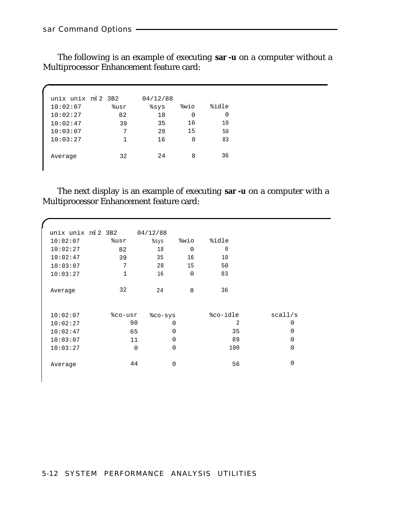The following is an example of executing **sar -u** on a computer without a Multiprocessor Enhancement feature card:

| unix unix $rel$ 2 3B2 |      | 04/12/88 |      |          |
|-----------------------|------|----------|------|----------|
| 10:02:07              | %usr | ៖sys     | %wio | %idle    |
| 10:02:27              | 82   | 18       | 0    | $\Omega$ |
| 10:02:47              | 39   | 35       | 16   | 10       |
| 10:03:07              | 7    | 28       | 15   | 50       |
| 10:03:27              | 1    | 16       | ∩    | 83       |
| Average               | 32   | 2.4      | 8    | 36       |

The next display is an example of executing **sar -u** on a computer with a Multiprocessor Enhancement feature card:

| unix unix rel 2 3B2 |                | 04/12/88    |                |          |          |  |
|---------------------|----------------|-------------|----------------|----------|----------|--|
| 10:02:07            | %usr           | %sys        | %wio           | %idle    |          |  |
| 10:02:27            | 82             | 18          | $\overline{0}$ | $\Omega$ |          |  |
| 10:02:47            | 39             | 35          | 16             | 10       |          |  |
| 10:03:07            | 7              | 28          | 15             | 50       |          |  |
| 10:03:27            | $\mathbf{1}$   | 16          | $\Omega$       | 83       |          |  |
|                     |                |             |                |          |          |  |
| Average             | 32             | 24          | 8              | 36       |          |  |
|                     |                |             |                |          |          |  |
|                     |                |             |                |          |          |  |
| 10:02:07            | %co-usr        | %co-sys     |                | %co-idle | scall/s  |  |
| 10:02:27            | 98             | $\Omega$    |                | 2        | 0        |  |
| 10:02:47            | 65             | $\Omega$    |                | 35       | $\Omega$ |  |
| 10:03:07            | 11             | 0           |                | 89       | 0        |  |
| 10:03:27            | $\overline{0}$ | $\mathbf 0$ |                | 100      | 0        |  |
|                     |                |             |                |          |          |  |
| Average             | 44             | $\mathbf 0$ |                | 56       | 0        |  |
|                     |                |             |                |          |          |  |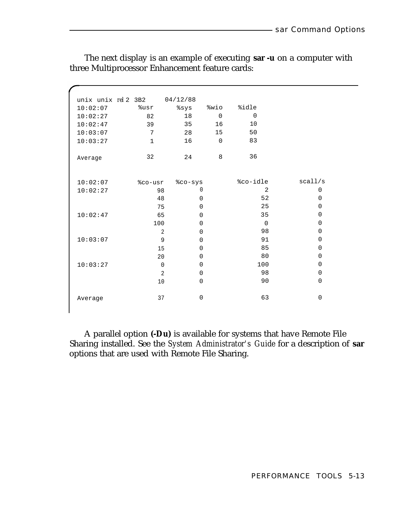| unix unix rel 2 3B2 |             | 04/12/88                      |                |                |             |
|---------------------|-------------|-------------------------------|----------------|----------------|-------------|
| 10:02:07            | %usr        | %sys                          | %wio           | %idle          |             |
| 10:02:27            | 82          | 18                            | $\mathbf 0$    | $\overline{0}$ |             |
| 10:02:47            | 39          | 35                            | 16             | 10             |             |
| 10:03:07            | 7           | 28                            | 15             | 50             |             |
| 10:03:27            | $\mathbf 1$ | 16                            | $\overline{0}$ | 83             |             |
|                     |             |                               |                |                |             |
| Average             | 32          | 24                            | 8              | 36             |             |
|                     |             |                               |                |                |             |
| 10:02:07            | %co-usr     | %co-sys                       |                | %co-idle       | scall/s     |
| 10:02:27            | 98          | 0                             |                | 2              | $\mathbf 0$ |
|                     | 48          | $\Omega$                      |                | 52             | $\mathbf 0$ |
|                     | 75          | $\Omega$                      |                | 25             | $\mathbf 0$ |
| 10:02:47            | 65          | 0                             |                | 35             | $\mathbf 0$ |
|                     | 100         | $\Omega$                      |                | $\Omega$       | $\mathbf 0$ |
|                     |             | $\Omega$<br>2                 |                | 98             | $\mathbf 0$ |
| 10:03:07            |             | 9<br>$\Omega$                 |                | 91             | $\mathbf 0$ |
|                     | 15          | $\Omega$                      |                | 85             | $\mathbf 0$ |
|                     | 20          | $\mathbf 0$                   |                | 80             | $\mathbf 0$ |
| 10:03:27            | $\Omega$    | $\Omega$                      |                | 100            | $\Omega$    |
|                     |             | $\overline{2}$<br>$\mathbf 0$ |                | 98             | $\mathbf 0$ |
|                     | 10          | $\mathbf 0$                   |                | 90             | $\mathbf 0$ |
|                     |             |                               |                |                |             |
| Average             | 37          | $\mathbf 0$                   |                | 63             | $\mathbf 0$ |
|                     |             |                               |                |                |             |

The next display is an example of executing **sar -u** on a computer with three Multiprocessor Enhancement feature cards:

A parallel option **(-Du)** is available for systems that have Remote File Sharing installed. See the *System Administrator's Guide* for a description of **sar** options that are used with Remote File Sharing.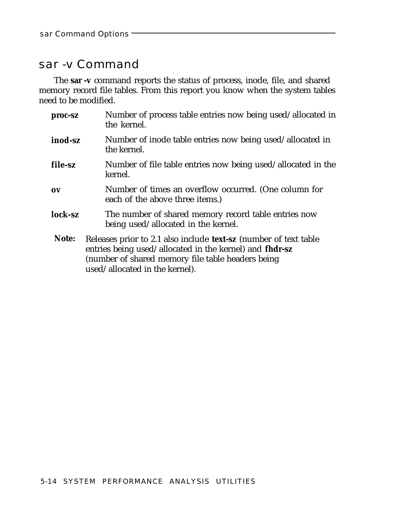### <span id="page-47-0"></span>sar -v Command

The **sar -v** command reports the status of process, inode, file, and shared memory record file tables. From this report you know when the system tables need to be modified.

| proc-sz | Number of process table entries now being used/allocated in<br>the kernel.                                                                                                                                         |
|---------|--------------------------------------------------------------------------------------------------------------------------------------------------------------------------------------------------------------------|
| inod-sz | Number of inode table entries now being used/allocated in<br>the kernel.                                                                                                                                           |
| file-sz | Number of file table entries now being used/allocated in the<br>kernel.                                                                                                                                            |
| 0V      | Number of times an overflow occurred. (One column for<br>each of the above three items.)                                                                                                                           |
| lock-sz | The number of shared memory record table entries now<br>being used/allocated in the kernel.                                                                                                                        |
| Note:   | Releases prior to 2.1 also include text-sz (number of text table<br>entries being used/allocated in the kernel) and fhdr-sz<br>(number of shared memory file table headers being<br>used/allocated in the kernel). |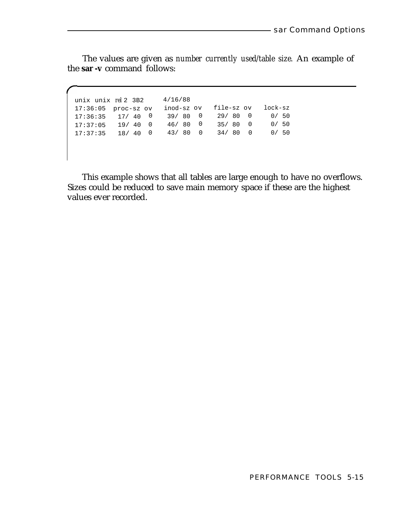The values are given as *number currently used/table size.* An example of the **sar -v** command follows:

unix unix *rel* 2 3B2 4/16/88 17:36:05 proc-sz ov inod-sz ov file-sz ov lock-sz 17:36:35 17/ 40 0 39/ 80 0 29/ 80 0 0/ 50 17:37:05 19/ 40 0 46/ 80 0 35/ 80 0 0/ 50 17:37:35 18/ 40 0 43/ 80 0 34/ 80 0 0/ 50

This example shows that all tables are large enough to have no overflows. Sizes could be reduced to save main memory space if these are the highest values ever recorded.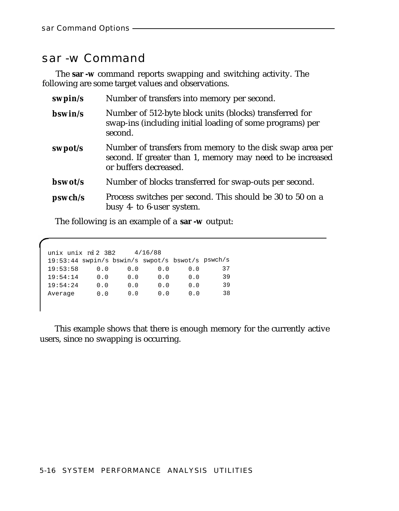#### <span id="page-49-0"></span>sar -w Command

The **sar -w** command reports swapping and switching activity. The following are some target values and observations.

| swpin/s | Number of transfers into memory per second.                                                                                                      |
|---------|--------------------------------------------------------------------------------------------------------------------------------------------------|
| bswin/s | Number of 512-byte block units (blocks) transferred for<br>swap-ins (including initial loading of some programs) per<br>second.                  |
| swpot/s | Number of transfers from memory to the disk swap area per<br>second. If greater than 1, memory may need to be increased<br>or buffers decreased. |
| bswot/s | Number of blocks transferred for swap-outs per second.                                                                                           |
| pswch/s | Process switches per second. This should be 30 to 50 on a<br>busy 4- to 6-user system.                                                           |

The following is an example of a **sar -w** output:

| unix unix rel 2 3B2                              |     |     | 4/16/88 |     |    |
|--------------------------------------------------|-----|-----|---------|-----|----|
| 19:53:44 swpin/s bswin/s swpot/s bswot/s pswch/s |     |     |         |     |    |
| 19:53:58                                         | 0.0 | 0.0 | 0.0     | 0.0 | 37 |
| 19:54:14                                         | 0.0 | 0.0 | 0.0     | 0.0 | 39 |
| 19:54:24                                         | 0.0 | 0.0 | 0.0     | 0.0 | 39 |
| Average                                          | 0.0 | 0.0 | 0.0     | 0.0 | 38 |

This example shows that there is enough memory for the currently active users, since no swapping is occurring.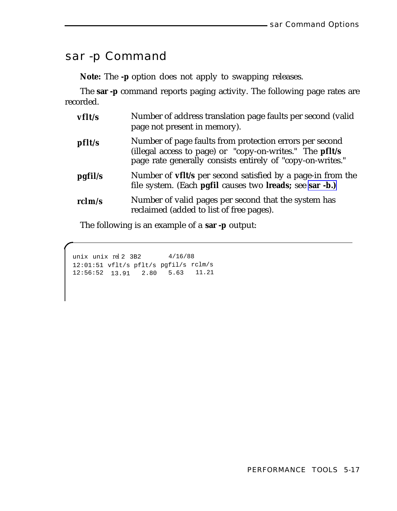### <span id="page-50-0"></span>sar -p Command

**Note:** The **-p** option does not apply to swapping releases.

The **sar -p** command reports paging activity. The following page rates are recorded.

| vflt/s           | Number of address translation page faults per second (valid<br>page not present in memory).                                                                                       |
|------------------|-----------------------------------------------------------------------------------------------------------------------------------------------------------------------------------|
| pfl <sub>s</sub> | Number of page faults from protection errors per second<br>(illegal access to page) or "copy-on-writes." The pflt/s<br>page rate generally consists entirely of "copy-on-writes." |
| pgfil/s          | Number of <b>vflt</b> /s per second satisfied by a page-in from the<br>file system. (Each pgfil causes two lreads; see sar -b.)                                                   |
| rclm/s           | Number of valid pages per second that the system has<br>reclaimed (added to list of free pages).                                                                                  |

The following is an example of a **sar -p** output:

unix *rel* 2 3B2 4/16/88 12:01:51 vflt/s pflt/s pgfil/s rclm/s 12:56:52 13.91 2.80 5.63 11.21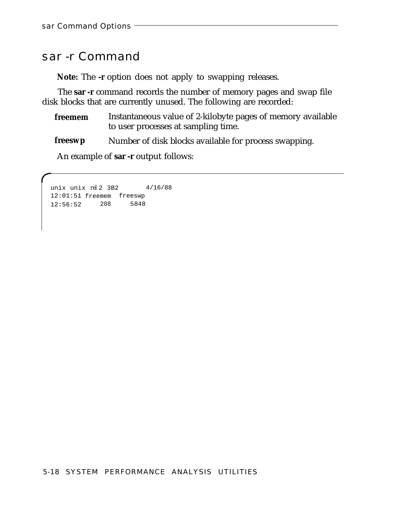### <span id="page-51-0"></span>sar -r Command

**Note:** The **-r** option does not apply to swapping releases.

The **sar -r** command records the number of memory pages and swap file disk blocks that are currently unused. The following are recorded:

**freemem** Instantaneous value of 2-kilobyte pages of memory available to user processes at sampling time.

**freeswp** Number of disk blocks available for process swapping.

An example of **sar -r** output follows:

unix *rel* 2 3B2 4/16/88 12:01:51 freemem freeswp 12:56:52 208 5848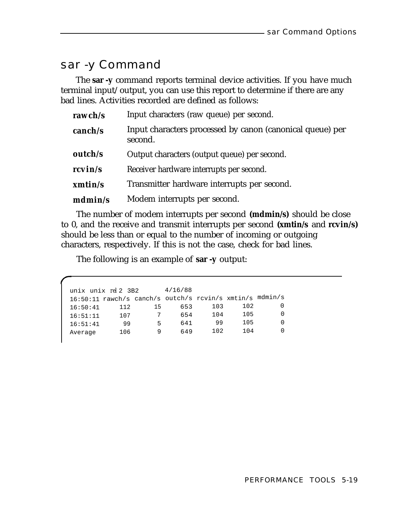### <span id="page-52-0"></span>sar -y Command

The **sar -y** command reports terminal device activities. If you have much terminal input/output, you can use this report to determine if there are any bad lines. Activities recorded are defined as follows:

| rawch/s | Input characters (raw queue) per second.                             |
|---------|----------------------------------------------------------------------|
| canch/s | Input characters processed by canon (canonical queue) per<br>second. |
| outch/s | Output characters (output queue) per second.                         |
| rcvin/s | Receiver hardware interrupts per second.                             |
| xmtin/s | Transmitter hardware interrupts per second.                          |
| mdmin/s | Modem interrupts per second.                                         |

The number of modem interrupts per second **(mdmin/s)** should be close to 0, and the receive and transmit interrupts per second **(xmtin/s** and **rcvin/s)** should be less than or equal to the number of incoming or outgoing characters, respectively. If this is not the case, check for bad lines.

The following is an example of **sar -y** output:

| unix unix $rel2$ 3B2                             |     |    | 4/16/88 |     |     |         |
|--------------------------------------------------|-----|----|---------|-----|-----|---------|
| 16:50:11 rawch/s canch/s outch/s revin/s xmtin/s |     |    |         |     |     | mdmin/s |
| 16:50:41                                         | 112 | 15 | 653     | 103 | 102 |         |
| 16:51:11                                         | 107 |    | 654     | 104 | 105 |         |
| 16:51:41                                         | 99  | 5  | 641     | 99  | 105 | 0       |
| Average                                          | 106 | q  | 649     | 102 | 104 |         |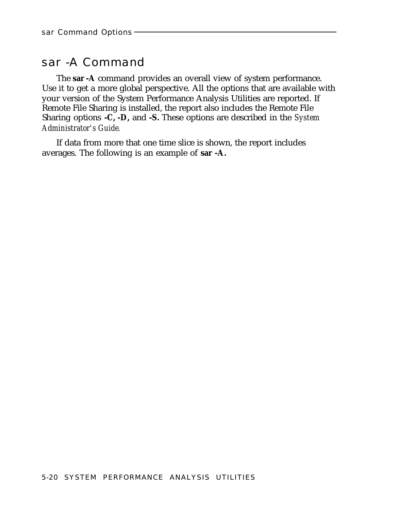### <span id="page-53-0"></span>sar -A Command

The **sar -A** command provides an overall view of system performance. Use it to get a more global perspective. All the options that are available with your version of the System Performance Analysis Utilities are reported. If Remote File Sharing is installed, the report also includes the Remote File Sharing options **-C, -D,** and **-S.** These options are described in the *System Administrator's Guide.*

If data from more that one time slice is shown, the report includes averages. The following is an example of **sar -A.**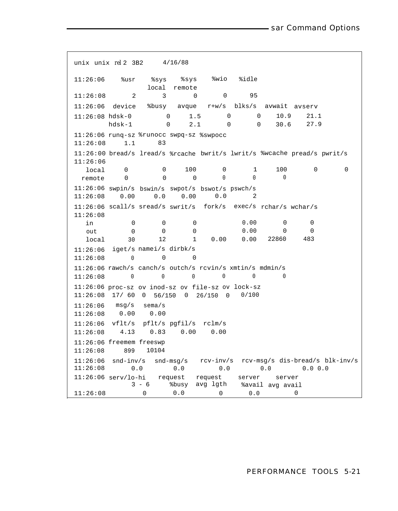```
unix unix rel 2 3B2 4/16/88
11:26:06 %usr %sys %sys %wio %idle
             local remote
11:26:08 2 3 0 0 95
11:26:06 device %busy avque r+w/s blks/s avwait avserv
11:26:08 hdsk-0 0 1.5 0 0 10.9 21.1
      hdsk-1 0 2.1 0 0 30.6 27.9
11:26:06 runq-sz %runocc swpq-sz %swpocc
11:26:08 1.1 83
11:26:00 bread/s lread/s %rcache bwrit/s lwrit/s %wcache pread/s pwrit/s
11:26:06
  local 0 0 100 0 1 100 0 0
 remote 0 0 0 0 0 0
11:26:06 swpin/s bswin/s swpot/s bswot/s pswch/s
11:26:08 0.00 0.0 0.00 0.0 2
11:26:06 scall/s sread/s swrit/s fork/s exec/s rchar/s wchar/s
11:26:08
 in 0 0 0 0 0.00 0 0<br>
out 0 0 0 0 0.00 0 0
  out 0 0 0 0.00 0 0
  local 30 12 1 0.00 0.00 22860 483
11:26:06 iget/s namei/s dirbk/s
11:26:08 0 0 0
11:26:06 rawch/s canch/s outch/s rcvin/s xmtin/s mdmin/s
11:26:08 0 0 0 0 0 0
11:26:06 proc-sz ov inod-sz ov file-sz ov lock-sz
11:26:08 17/ 60 0 56/150 0 26/150 0 0/100
11:26:06 msg/s sema/s
11:26:08 0.00 0.00
11:26:06 vflt/s pflt/s pgfil/s rclm/s
11:26:08 4.13 0.83 0.00 0.00
11:26:06 freemem freeswp
11:26:08 899 10104
11:26:06 snd-inv/s snd-msg/s rcv-inv/s rcv-msg/s dis-bread/s blk-inv/s
11:26:08 0.0 0.0 0.0 0.0 0.0 0.0 0.0 0.0
11:26:06 serv/lo-hi request request server server
          3 - 6 %busy avg lgth %avail avg avail
11:26:08 0 0.0 0 0.0 0 0.0
```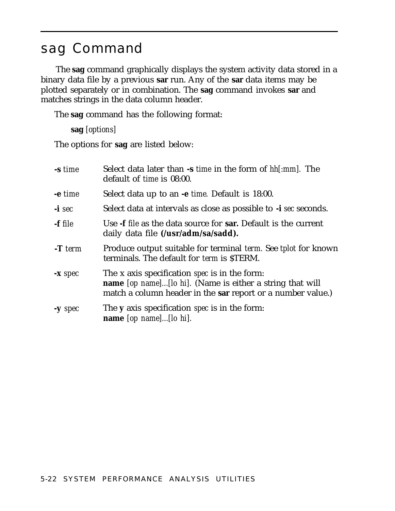### <span id="page-55-2"></span><span id="page-55-1"></span><span id="page-55-0"></span>sag Command

The **sag** command graphically displays the system activity data stored in a binary data file by a previous **sar** run. Any of the **sar** data items may be plotted separately or in combination. The **sag** command invokes **sar** and matches strings in the data column header.

The **sag** command has the following format:

```
sag [options]
```
The options for **sag** are listed below:

| -s time   | Select data later than -s <i>time</i> in the form of <i>hh[:mm]</i> . The<br>default of <i>time</i> is 08:00.                                                                           |
|-----------|-----------------------------------------------------------------------------------------------------------------------------------------------------------------------------------------|
| -e time   | Select data up to an -e <i>time</i> . Default is 18:00.                                                                                                                                 |
| $-i \sec$ | Select data at intervals as close as possible to -i sec seconds.                                                                                                                        |
| -f file   | Use -f file as the data source for sar. Default is the current<br>daily data file (/usr/adm/sa/sadd).                                                                                   |
| $-T$ term | Produce output suitable for terminal <i>term</i> . See <i>tplot</i> for known<br>terminals. The default for <i>term</i> is \$TERM.                                                      |
| $-x spec$ | The x axis specification <i>spec</i> is in the form:<br><b>name</b> [op name][lo hi]. (Name is either a string that will<br>match a column header in the sar report or a number value.) |
| $-y$ spec | The <b>y</b> axis specification <i>spec</i> is in the form:<br>name $[op \ name] \dots [lo \ hi]$ .                                                                                     |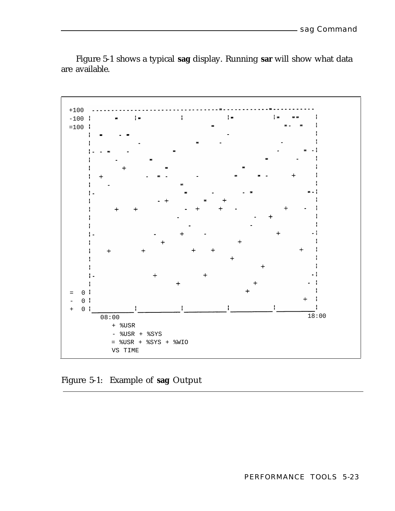<span id="page-56-1"></span><span id="page-56-0"></span>

<span id="page-56-2"></span>Figure 5-1 shows a typical **sag** display. Running **sar** will show what data are available.

Figure 5-1: Example of **sag** Output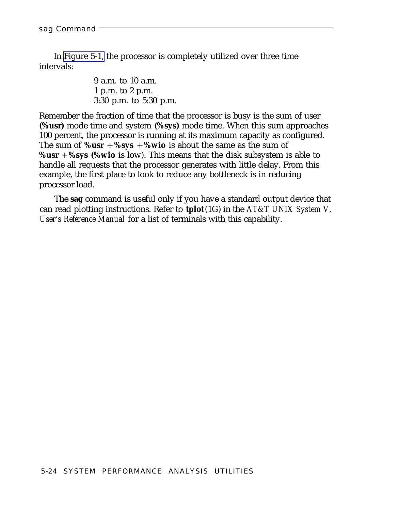In [Figure 5-1,](#page-56-1) the processor is completely utilized over three time intervals:

> 9 a.m. to 10 a.m. 1 p.m. to 2 p.m. 3:30 p.m. to 5:30 p.m.

Remember the fraction of time that the processor is busy is the sum of user **(%usr)** mode time and system **(%sys)** mode time. When this sum approaches 100 percent, the processor is running at its maximum capacity as configured. The sum of  $\%$ **usr** +  $\%$ **sys** +  $\%$ **wio** is about the same as the sum of **%usr** + **%sys (%wio** is low). This means that the disk subsystem is able to handle all requests that the processor generates with little delay. From this example, the first place to look to reduce any bottleneck is in reducing processor load.

The **sag** command is useful only if you have a standard output device that can read plotting instructions. Refer to **tplot**(1G) in the *AT&T UNIX System V, User's Reference Manual* for a list of terminals with this capability.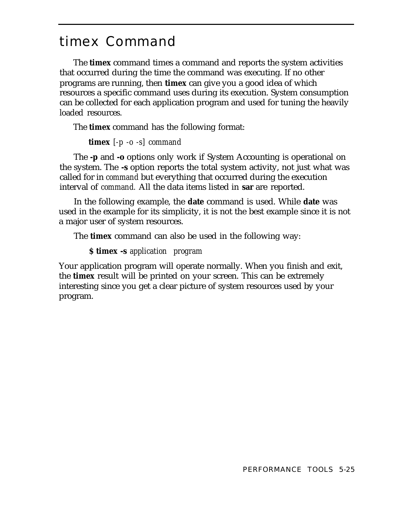## <span id="page-58-2"></span><span id="page-58-1"></span><span id="page-58-0"></span>timex Command

The **timex** command times a command and reports the system activities that occurred during the time the command was executing. If no other programs are running, then **timex** can give you a good idea of which resources a specific command uses during its execution. System consumption can be collected for each application program and used for tuning the heavily loaded resources.

The **timex** command has the following format:

```
timex [-p -o -s] command
```
The **-p** and **-o** options only work if System Accounting is operational on the system. The **-s** option reports the total system activity, not just what was called for in *command* but everything that occurred during the execution interval of *command.* All the data items listed in **sar** are reported.

In the following example, the **date** command is used. While **date** was used in the example for its simplicity, it is not the best example since it is not a major user of system resources.

The **timex** command can also be used in the following way:

#### **\$ timex -s** *application program*

Your application program will operate normally. When you finish and exit, the **timex** result will be printed on your screen. This can be extremely interesting since you get a clear picture of system resources used by your program.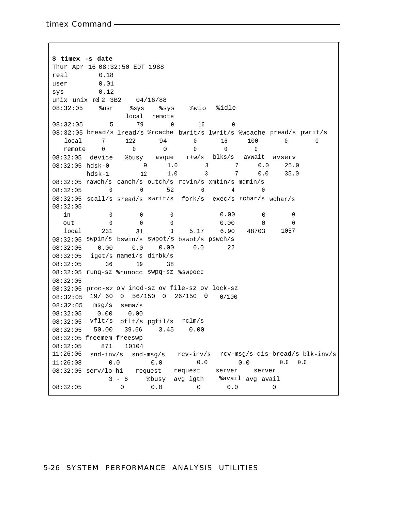**\$ timex -s date** Thur Apr 16 08:32:50 EDT 1988 real 0.18 user 0.01 sys 0.12 unix unix *rel* 2 3B2 04/16/88 08:32:05 %usr %sys %sys %wio %idle local remote 08:32:05 5 79 0 16 0 08:32:05 bread/s lread/s %rcache bwrit/s lwrit/s %wcache pread/s pwrit/s local 7 122 94 0 16 100 0 0 remote 0 0 0 0 0 0 08:32:05 device %busy avque r+w/s blks/s avwait avserv 08:32:05 hdsk-0 9 1.0 3 7 0.0 25.0 hdsk-1 12 1.0 3 7 0.0 35.0 08:32:05 rawch/s canch/s outch/s rcvin/s xmtin/s mdmin/s 08:32:05 0 0 52 0 4 0 08:32:05 scall/s sread/s swrit/s fork/s exec/s rchar/s wchar/s 08:32:05  $\begin{matrix} \sin \quad & \ 0 \quad & \ 0 \quad & \ 0 \quad & \ 0 \quad & \ 0 \quad & \ 0 \quad & \ 0 \quad & \ 0 \quad & \ 0 \quad & \ 0 \quad & \ 0 \quad & \ 0 \quad & \ 0 \quad & \ 0 \quad & \ 0 \quad & \ 0 \quad & \ 0 \quad & \ 0 \quad & \ 0 \quad & \ 0 \quad & \ 0 \quad & \ 0 \quad & \ 0 \quad & \ 0 \quad & \ 0 \quad & \ 0 \quad & \ 0 \quad & \ 0 \quad & \ 0 \quad & \ 0 \quad & \ 0 \quad & \ 0 \quad & \ 0 \quad & \ 0 \quad & \ 0 \quad &$ out 0 0 0 0 0.00 0 0 local 231 31 3 5.17 6.90 48703 1057 08:32:05 swpin/s bswin/s swpot/s bswot/s pswch/s 08:32:05 0.00 0.0 0.00 0.0 22 08:32:05 iget/s namei/s dirbk/s 08:32:05 36 19 38 08:32:05 runq-sz %runocc swpq-sz %swpocc 08:32:05 08:32:05 proc-sz ov inod-sz ov file-sz ov lock-sz 08:32:05 19/ 60 0 56/150 0 26/150 0 0/100 08:32:05 msg/s sema/s 08:32:05 0.00 0.00 08:32:05 vflt/s pflt/s pgfil/s rclm/s 08:32:05 50.00 39.66 3.45 0.00 08:32:05 freemem freeswp 08:32:05 871 10104 11:26:06 snd-inv/s snd-msg/s rcv-inv/s rcv-msg/s dis-bread/s blk-inv/s  $11:26:08$  0.0 0.0 0.0 0.0 0.0 0.0 0.0 08:32:05 serv/lo-hi request request server server 3 - 6 %busy avg lgth %avail avg avail 08:32:05 0 0.0 0 0.0 0

#### 5-26 SYSTEM PERFORMANCE ANALYSIS UTILITIES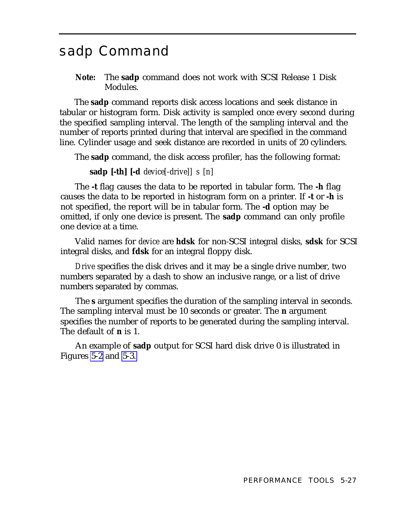### <span id="page-60-2"></span><span id="page-60-1"></span><span id="page-60-0"></span>sadp Command

**Note:** The **sadp** command does not work with SCSI Release 1 Disk Modules.

The **sadp** command reports disk access locations and seek distance in tabular or histogram form. Disk activity is sampled once every second during the specified sampling interval. The length of the sampling interval and the number of reports printed during that interval are specified in the command line. Cylinder usage and seek distance are recorded in units of 20 cylinders.

The **sadp** command, the disk access profiler, has the following format:

**sadp [-th] [-d** *device[-drive]] s [n]*

The **-t** flag causes the data to be reported in tabular form. The **-h** flag causes the data to be reported in histogram form on a printer. If **-t** or **-h** is not specified, the report will be in tabular form. The **-d** option may be omitted, if only one device is present. The **sadp** command can only profile one device at a time.

Valid names for *device* are **hdsk** for non-SCSI integral disks, **sdsk** for SCSI integral disks, and **fdsk** for an integral floppy disk.

*Drive* specifies the disk drives and it may be a single drive number, two numbers separated by a dash to show an inclusive range, or a list of drive numbers separated by commas.

The **s** argument specifies the duration of the sampling interval in seconds. The sampling interval must be 10 seconds or greater. The **n** argument specifies the number of reports to be generated during the sampling interval. The default of **n** is 1.

An example of **sadp** output for SCSI hard disk drive 0 is illustrated in Figures [5-2](#page-62-1) and [5-3.](#page-63-1)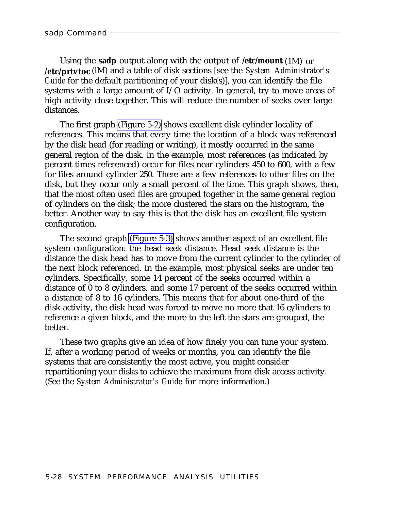<span id="page-61-0"></span>Using the **sadp** output along with the output of **/etc/mount** (1M) or **/etc/prtvtoc** (lM) and a table of disk sections [see the *System Administrator's Guide* for the default partitioning of your disk(s)], you can identify the file systems with a large amount of I/O activity. In general, try to move areas of high activity close together. This will reduce the number of seeks over large distances.

The first graph [\(Figure 5-2\)](#page-62-2) shows excellent disk cylinder locality of references. This means that every time the location of a block was referenced by the disk head (for reading or writing), it mostly occurred in the same general region of the disk. In the example, most references (as indicated by percent times referenced) occur for files near cylinders 450 to 600, with a few for files around cylinder 250. There are a few references to other files on the disk, but they occur only a small percent of the time. This graph shows, then, that the most often used files are grouped together in the same general region of cylinders on the disk; the more clustered the stars on the histogram, the better. Another way to say this is that the disk has an excellent file system configuration.

The second graph [\(Figure 5-3\)](#page-63-2) shows another aspect of an excellent file system configuration: the head seek distance. Head seek distance is the distance the disk head has to move from the current cylinder to the cylinder of the next block referenced. In the example, most physical seeks are under ten cylinders. Specifically, some 14 percent of the seeks occurred within a distance of 0 to 8 cylinders, and some 17 percent of the seeks occurred within a distance of 8 to 16 cylinders. This means that for about one-third of the disk activity, the disk head was forced to move no more that 16 cylinders to reference a given block, and the more to the left the stars are grouped, the better.

These two graphs give an idea of how finely you can tune your system. If, after a working period of weeks or months, you can identify the file systems that are consistently the most active, you might consider repartitioning your disks to achieve the maximum from disk access activity. (See the *System Administrator's Guide* for more information.)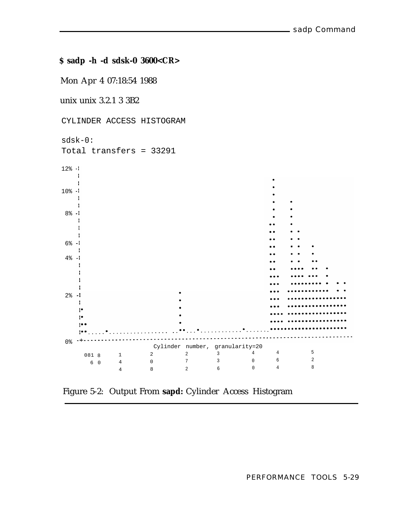<span id="page-62-3"></span><span id="page-62-2"></span><span id="page-62-1"></span><span id="page-62-0"></span>**\$ sadp -h -d sdsk-0 3600<CR>**

Mon Apr 4 07:18:54 1988

unix unix 3.2.1 3 3B2

CYLINDER ACCESS HISTOGRAM



Figure 5-2: Output From **sapd:** Cylinder Access Histogram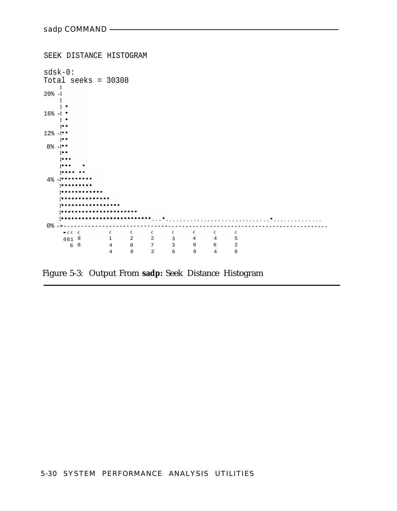```
SEEK DISTANCE HISTOGRAM
sdsk-0:
Total seeks = 30308
20\% \cdot \cdot \cdot-116\% - 1 +\rightarrow12% - !**
  \rightarrow8\% - 1\mathbb{R}^{n \times n}i<br>Lihata
  \frac{1}{2}i je električke
4\frac{8}{9} - 1******1 . . . . . . . . .
   ..............
   ------------------
   .......................
  0%
    081 8 1 2 2 3 4 4 5
     6 0 4 0 7 3 0 6 2
            4 8 2 6 0 4 8
```
Figure 5-3: Output From **sadp:** Seek Distance Histogram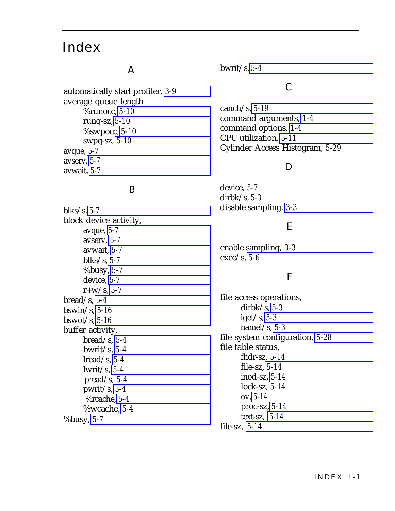### <span id="page-64-0"></span>Index

#### A

automatically start profiler, *[3-9](#page-27-0)* average queue length %runocc, *[5-10](#page-43-0)* runq-sz, *[5-10](#page-43-0)* %swpocc, *[5-10](#page-43-0)* swpq-sz, *[5-10](#page-43-0)* avque, *[5-7](#page-40-0)* avserv, *[5-7](#page-40-0)* avwait, *[5-7](#page-40-0)*

#### B

blks/s, *[5-7](#page-40-0)* block device activity, avque, *[5-7](#page-40-0)* avserv, *[5-7](#page-40-0)* avwait, *[5-7](#page-40-0)* blks/s, *[5-7](#page-40-0)* %busy, *[5-7](#page-40-0)* device, *[5-7](#page-40-0)* r+w/s, *[5-7](#page-40-0)* bread/s, *[5-4](#page-37-1)* bswin/s, *[5-16](#page-49-0)* bswot/s, *[5-16](#page-49-0)* buffer activity, bread/s, *[5-4](#page-37-1)* bwrit/s, *[5-4](#page-37-1)* lread/s, *[5-4](#page-37-1)* lwrit/s, *[5-4](#page-37-1)* pread/s, *[5-4](#page-37-1)* pwrit/s, *[5-4](#page-37-1)* %rcache, *[5-4](#page-37-1)* %wcache, *[5-4](#page-37-1)* %busy, *[5-7](#page-40-0)*

bwrit/s, *[5-4](#page-37-1)*

#### C

canch/s, *[5-19](#page-52-0)* command arguments, *[1-4](#page-10-1)* command options, *[1-4](#page-10-1)* CPU utilization, *[5-11](#page-44-0)* Cylinder Access Histogram, *[5-29](#page-62-3)*

#### D

device, *[5-7](#page-40-0)* dirbk/s, *[5-3](#page-36-1)* disable sampling, *[3-3](#page-21-2)*

#### E

enable sampling, *[3-3](#page-21-2)* exec/s, *[5-6](#page-39-0)*

#### F

file access operations, dirbk/s, *[5-3](#page-36-1)* iget/s, *[5-3](#page-36-1)* namei/s, *[5-3](#page-36-1)* file system configuration, *[5-28](#page-61-0)* file table status, fhdr-sz, *[5-14](#page-47-0)* file-sz, *[5-14](#page-47-0)* inod-sz, *[5-14](#page-47-0)* lock-sz, *[5-14](#page-47-0)* ov, *[5-14](#page-47-0)* proc-sz, *[5-14](#page-47-0)* text-sz, *[5-14](#page-47-0)* file-sz, *[5-14](#page-47-0)*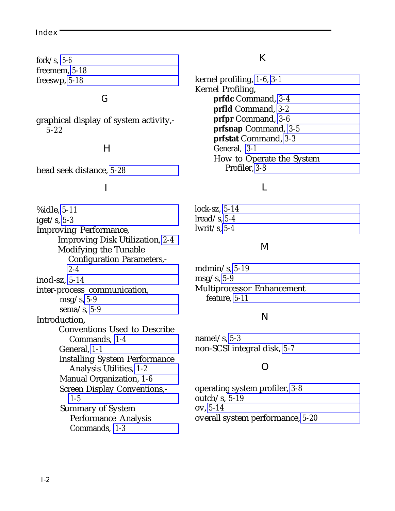#### Index

fork/s, *[5-6](#page-39-0)* freemem, *[5-18](#page-51-0)* freeswp, *[5-18](#page-51-0)*

#### G

graphical display of system activity,- *5-22*

#### H

head seek distance, *[5-28](#page-61-0)*

#### I

%idle, *[5-11](#page-44-0)* iget/s, *[5-3](#page-36-1)* Improving Performance, Improving Disk Utilization, *[2-4](#page-17-1)* Modifying the Tunable Configuration Parameters,- *[2-4](#page-17-1)* inod-sz, *[5-14](#page-47-0)* inter-process communication, msg/s, *[5-9](#page-42-0)* sema/s, *[5-9](#page-42-0)* Introduction, Conventions Used to Describe Commands, *[1-4](#page-10-1)* General, *[1-1](#page-7-1)* Installing System Performance Analysis Utilities, *[1-2](#page-8-1)* Manual Organization, *[1-6](#page-12-1)* Screen Display Conventions,- *[1-5](#page-11-1)* Summary of System Performance Analysis Commands, *[1-3](#page-9-1)*

#### K

kernel profiling, *[1-6,](#page-12-1) [3-1](#page-19-2)* Kernel Profiling, **prfdc** Command, *[3-4](#page-22-2)* **prfld** Command, *[3-2](#page-20-2)* **prfpr** Command, *[3-6](#page-24-2)* **prfsnap** Command, *[3-5](#page-23-2)* **prfstat** Command, *[3-3](#page-21-2)* General, *[3-1](#page-19-2)* How to Operate the System Profiler, *[3-8](#page-26-1)*

#### L

lock-sz, *[5-14](#page-47-0)* lread/s, *[5-4](#page-37-1)* lwrit/s, *[5-4](#page-37-1)*

#### M

mdmin/s, *[5-19](#page-52-0)* msg/s, *[5-9](#page-42-0)* Multiprocessor Enhancement feature, *[5-11](#page-44-0)*

#### N

namei/s, *[5-3](#page-36-1)* non-SCSI integral disk, *[5-7](#page-40-0)*

#### O

operating system profiler, *[3-8](#page-26-1)* outch/s, *[5-19](#page-52-0)* ov, *[5-14](#page-47-0)* overall system performance, *[5-20](#page-53-0)*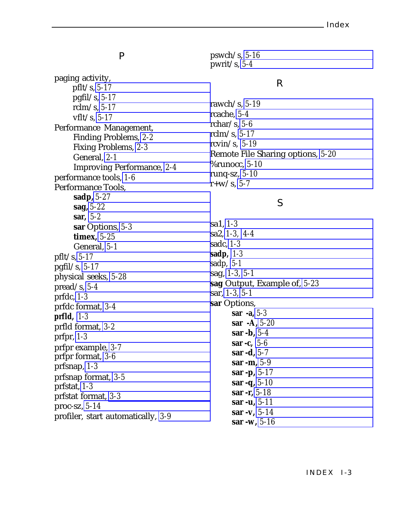paging activity, pflt/s, *[5-17](#page-50-0)* pgfil/s, *[5-17](#page-50-0)* rclm/s, *[5-17](#page-50-0)* vflt/s, *[5-17](#page-50-0)* Performance Management, Finding Problems, *[2-2](#page-15-1)* Fixing Problems, *[2-3](#page-16-1)* General, *[2-1](#page-14-1)* Improving Performance, *[2-4](#page-17-1)* performance tools, *[1-6](#page-12-1)* Performance Tools, **sadp,** *[5-27](#page-60-2)* **sag,** *[5-22](#page-55-2)* **sar,** *[5-2](#page-35-3)* **sar** Options, *[5-3](#page-36-1)* **timex,** *[5-25](#page-58-2)* General, *[5-1](#page-34-1)* pflt/s, *[5-17](#page-50-0)* pgfil/s, *[5-17](#page-50-0)* physical seeks, *[5-28](#page-61-0)* pread/s, *[5-4](#page-37-1)* prfdc, *[1-3](#page-9-1)* prfdc format, *[3-4](#page-22-2)* **prfld,** *[1-3](#page-9-1)* prfld format, *[3-2](#page-20-2)* prfpr, *[1-3](#page-9-1)* prfpr example, *[3-7](#page-25-1)* prfpr format, *[3-6](#page-24-2)* prfsnap, *[1-3](#page-9-1)* prfsnap format, *[3-5](#page-23-2)* prfstat, *[1-3](#page-9-1)* prfstat format, *[3-3](#page-21-2)* proc-sz, *[5-14](#page-47-0)* profiler, start automatically, *[3-9](#page-27-0)*

 $\mathbf{P}$  pswch/s, [5-16](#page-49-0) pwrit/s, *[5-4](#page-37-1)*

#### R

rawch/s, *[5-19](#page-52-0)* rcache, *[5-4](#page-37-1)* rchar/s, *[5-6](#page-39-0)* rclm/s, *[5-17](#page-50-0)* rcvin/s, *[5-19](#page-52-0)* Remote File Sharing options, *[5-20](#page-53-0)* %runocc, *[5-10](#page-43-0)* runq-sz, *[5-10](#page-43-0)* r+w/s, *[5-7](#page-40-0)*

#### S

sa1, *[1-3](#page-9-1)* sa2, *[1-3,](#page-9-1) [4-4](#page-32-2)* sadc, *[1-3](#page-9-1)* **sadp,** *[1-3](#page-9-1)* sadp, *[5-1](#page-34-1)* sag, *[1-3,](#page-9-1) [5-1](#page-34-1)* **sag** Output, Example of, *[5-23](#page-56-2)* sar, *[1-3,](#page-9-1) [5-1](#page-34-1)* **sar** Options, **sar -a,** *[5-3](#page-36-1)* **sar -A,** *[5-20](#page-53-0)* **sar -b,** *[5-4](#page-37-1)* **sar -c,** *[5-6](#page-39-0)* **sar -d,** *[5-7](#page-40-0)* **sar -m,** *[5-9](#page-42-0)* **sar -p,** *[5-17](#page-50-0)* **sar -q,** *[5-10](#page-43-0)* **sar -r,** *[5-18](#page-51-0)* **sar -u,** *[5-11](#page-44-0)* **sar -v,** *[5-14](#page-47-0)* **sar -w,** *[5-16](#page-49-0)*